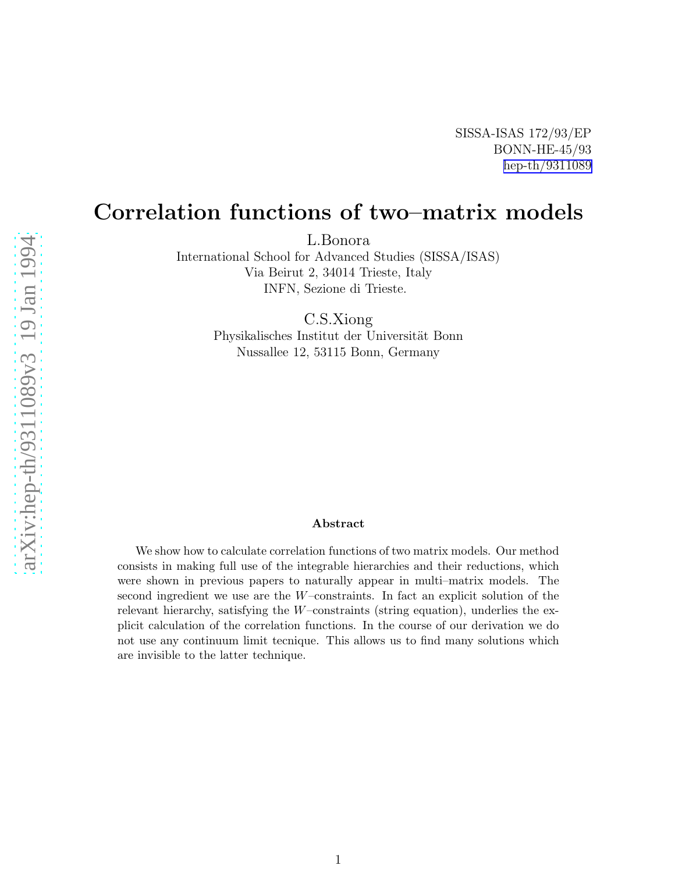arXiv:hep-th/9311089v3 19 Jan 1994

# Correlation functions of two–matrix models

L.Bonora

International School for Advanced Studies (SISSA/ISAS) Via Beirut 2, 34014 Trieste, Italy INFN, Sezione di Trieste.

C.S.Xiong

Physikalisches Institut der Universität Bonn Nussallee 12, 53115 Bonn, Germany

#### Abstract

We show how to calculate correlation functions of two matrix models. Our method consists in making full use of the integrable hierarchies and their reductions, which were shown in previous papers to naturally appear in multi–matrix models. The second ingredient we use are the W–constraints. In fact an explicit solution of the relevant hierarchy, satisfying the W–constraints (string equation), underlies the explicit calculation of the correlation functions. In the course of our derivation we do not use any continuum limit tecnique. This allows us to find many solutions which are invisible to the latter technique.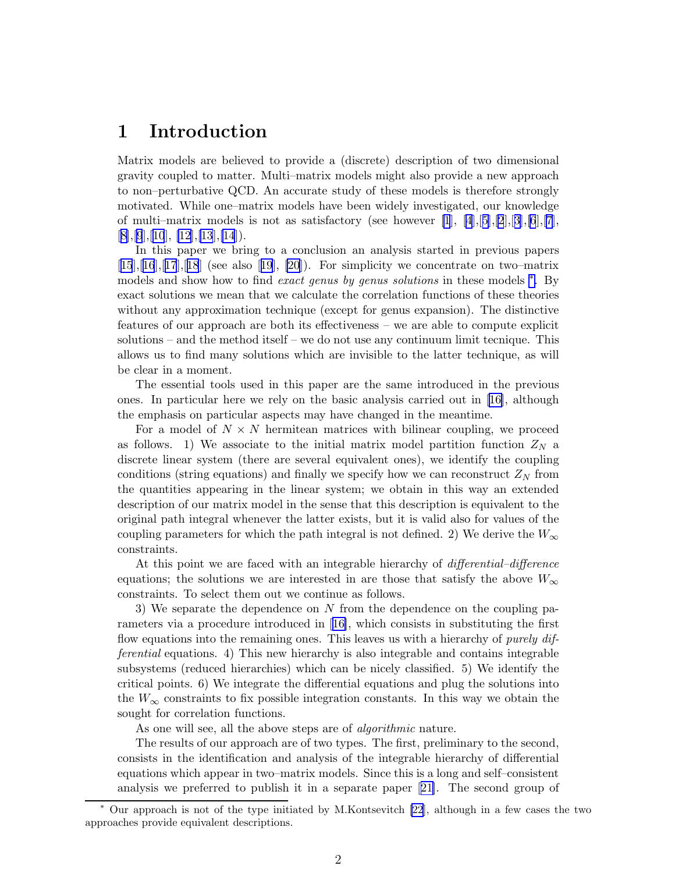## 1 Introduction

Matrix models are believed to provide a (discrete) description of two dimensional gravity coupled to matter. Multi–matrix models might also provide a new approach to non–perturbative QCD. An accurate study of these models is therefore strongly motivated. While one–matrix models have been widely investigated, our knowledge of multi–matrix models is not as satisfactory (see however  $[1], [4], [5], [2], [3], [6], [7],$  $[1], [4], [5], [2], [3], [6], [7],$  $[1], [4], [5], [2], [3], [6], [7],$  $[1], [4], [5], [2], [3], [6], [7],$  $[1], [4], [5], [2], [3], [6], [7],$  $[1], [4], [5], [2], [3], [6], [7],$  $[1], [4], [5], [2], [3], [6], [7],$  $[1], [4], [5], [2], [3], [6], [7],$  $[1], [4], [5], [2], [3], [6], [7],$  $[1], [4], [5], [2], [3], [6], [7],$  $[1], [4], [5], [2], [3], [6], [7],$  $[1], [4], [5], [2], [3], [6], [7],$  $[1], [4], [5], [2], [3], [6], [7],$  $[8], [9], [10], [12], [13], [14]$  $[8], [9], [10], [12], [13], [14]$  $[8], [9], [10], [12], [13], [14]$  $[8], [9], [10], [12], [13], [14]$  $[8], [9], [10], [12], [13], [14]$  $[8], [9], [10], [12], [13], [14]$  $[8], [9], [10], [12], [13], [14]$  $[8], [9], [10], [12], [13], [14]$  $[8], [9], [10], [12], [13], [14]$  $[8], [9], [10], [12], [13], [14]$  $[8], [9], [10], [12], [13], [14]$  $[8], [9], [10], [12], [13], [14]$  $[8], [9], [10], [12], [13], [14]$ .

In this paper we bring to a conclusion an analysis started in previous papers  $[15],[16],[17],[18]$  $[15],[16],[17],[18]$  $[15],[16],[17],[18]$  $[15],[16],[17],[18]$  $[15],[16],[17],[18]$  $[15],[16],[17],[18]$  $[15],[16],[17],[18]$  $[15],[16],[17],[18]$  $[15],[16],[17],[18]$ (see also  $[19],[20]$  $[19],[20]$  $[19],[20]$ ). For simplicity we concentrate on two–matrix models and show how to find exact genus by genus solutions in these models  $*$ . By exact solutions we mean that we calculate the correlation functions of these theories without any approximation technique (except for genus expansion). The distinctive features of our approach are both its effectiveness – we are able to compute explicit solutions – and the method itself – we do not use any continuum limit tecnique. This allows us to find many solutions which are invisible to the latter technique, as will be clear in a moment.

The essential tools used in this paper are the same introduced in the previous ones. In particular here we rely on the basic analysis carried out in [\[16\]](#page-37-0), although the emphasis on particular aspects may have changed in the meantime.

For a model of  $N \times N$  hermitean matrices with bilinear coupling, we proceed as follows. 1) We associate to the initial matrix model partition function  $Z_N$  a discrete linear system (there are several equivalent ones), we identify the coupling conditions (string equations) and finally we specify how we can reconstruct  $Z_N$  from the quantities appearing in the linear system; we obtain in this way an extended description of our matrix model in the sense that this description is equivalent to the original path integral whenever the latter exists, but it is valid also for values of the coupling parameters for which the path integral is not defined. 2) We derive the  $W_{\infty}$ constraints.

At this point we are faced with an integrable hierarchy of *differential–difference* equations; the solutions we are interested in are those that satisfy the above  $W_{\infty}$ constraints. To select them out we continue as follows.

3) We separate the dependence on N from the dependence on the coupling parameters via a procedure introduced in[[16\]](#page-37-0), which consists in substituting the first flow equations into the remaining ones. This leaves us with a hierarchy of *purely dif*ferential equations. 4) This new hierarchy is also integrable and contains integrable subsystems (reduced hierarchies) which can be nicely classified. 5) We identify the critical points. 6) We integrate the differential equations and plug the solutions into the  $W_{\infty}$  constraints to fix possible integration constants. In this way we obtain the sought for correlation functions.

As one will see, all the above steps are of *algorithmic* nature.

The results of our approach are of two types. The first, preliminary to the second, consists in the identification and analysis of the integrable hierarchy of differential equations which appear in two–matrix models. Since this is a long and self–consistent analysis we preferred to publish it in a separate paper[[21\]](#page-37-0). The second group of

<sup>∗</sup> Our approach is not of the type initiated by M.Kontsevitch [\[22](#page-37-0)], although in a few cases the two approaches provide equivalent descriptions.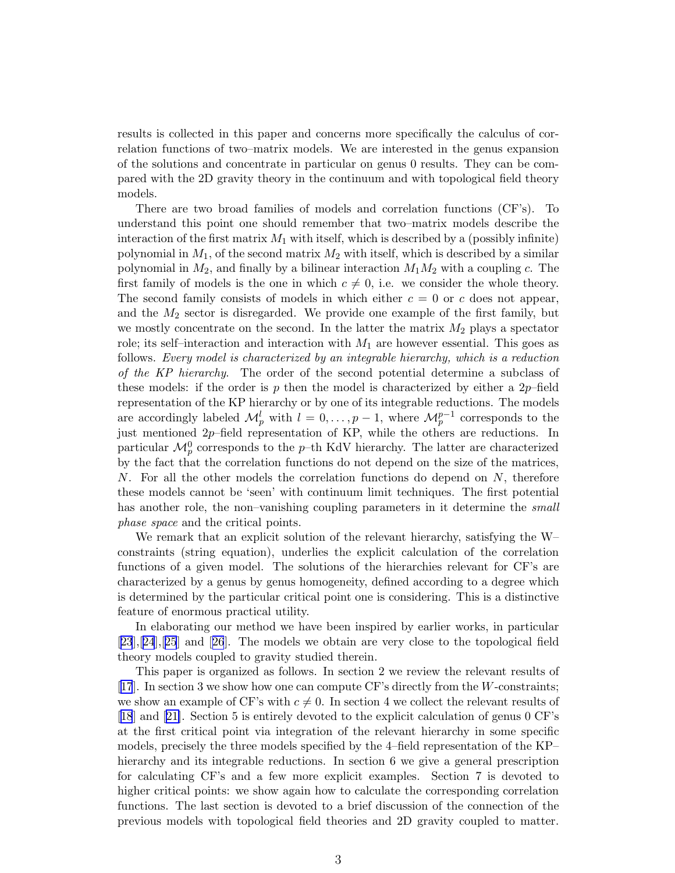results is collected in this paper and concerns more specifically the calculus of correlation functions of two–matrix models. We are interested in the genus expansion of the solutions and concentrate in particular on genus 0 results. They can be compared with the 2D gravity theory in the continuum and with topological field theory models.

There are two broad families of models and correlation functions (CF's). To understand this point one should remember that two–matrix models describe the interaction of the first matrix  $M_1$  with itself, which is described by a (possibly infinite) polynomial in  $M_1$ , of the second matrix  $M_2$  with itself, which is described by a similar polynomial in  $M_2$ , and finally by a bilinear interaction  $M_1M_2$  with a coupling c. The first family of models is the one in which  $c \neq 0$ , i.e. we consider the whole theory. The second family consists of models in which either  $c = 0$  or c does not appear, and the  $M_2$  sector is disregarded. We provide one example of the first family, but we mostly concentrate on the second. In the latter the matrix  $M_2$  plays a spectator role; its self-interaction and interaction with  $M_1$  are however essential. This goes as follows. Every model is characterized by an integrable hierarchy, which is a reduction of the KP hierarchy. The order of the second potential determine a subclass of these models: if the order is p then the model is characterized by either a  $2p$ -field representation of the KP hierarchy or by one of its integrable reductions. The models are accordingly labeled  $\mathcal{M}_{p}^{l}$  with  $l = 0, \ldots, p - 1$ , where  $\mathcal{M}_{p}^{p-1}$  corresponds to the just mentioned 2p–field representation of KP, while the others are reductions. In particular  $\mathcal{M}_{p}^{0}$  corresponds to the p–th KdV hierarchy. The latter are characterized by the fact that the correlation functions do not depend on the size of the matrices, N. For all the other models the correlation functions do depend on N, therefore these models cannot be 'seen' with continuum limit techniques. The first potential has another role, the non–vanishing coupling parameters in it determine the *small* phase space and the critical points.

We remark that an explicit solution of the relevant hierarchy, satisfying the W– constraints (string equation), underlies the explicit calculation of the correlation functions of a given model. The solutions of the hierarchies relevant for CF's are characterized by a genus by genus homogeneity, defined according to a degree which is determined by the particular critical point one is considering. This is a distinctive feature of enormous practical utility.

In elaborating our method we have been inspired by earlier works, in particular [[23](#page-37-0)],[[24](#page-37-0)],[[25](#page-37-0)] and[[26](#page-37-0)]. The models we obtain are very close to the topological field theory models coupled to gravity studied therein.

This paper is organized as follows. In section 2 we review the relevant results of [[17](#page-37-0)]. In section 3 we show how one can compute CF's directly from the W-constraints; we show an example of CF's with  $c \neq 0$ . In section 4 we collect the relevant results of [[18](#page-37-0)] and[[21\]](#page-37-0). Section 5 is entirely devoted to the explicit calculation of genus 0 CF's at the first critical point via integration of the relevant hierarchy in some specific models, precisely the three models specified by the 4–field representation of the KP– hierarchy and its integrable reductions. In section 6 we give a general prescription for calculating CF's and a few more explicit examples. Section 7 is devoted to higher critical points: we show again how to calculate the corresponding correlation functions. The last section is devoted to a brief discussion of the connection of the previous models with topological field theories and 2D gravity coupled to matter.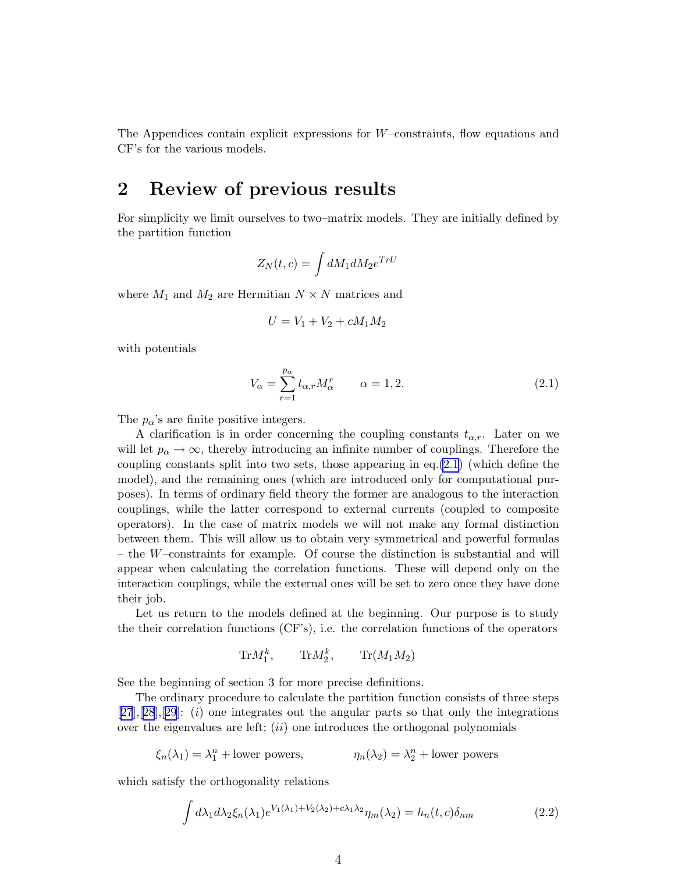<span id="page-3-0"></span>The Appendices contain explicit expressions for  $W$ –constraints, flow equations and CF's for the various models.

### 2 Review of previous results

For simplicity we limit ourselves to two–matrix models. They are initially defined by the partition function

$$
Z_N(t,c) = \int dM_1 dM_2 e^{TrU}
$$

where  $M_1$  and  $M_2$  are Hermitian  $N \times N$  matrices and

$$
U = V_1 + V_2 + cM_1M_2
$$

with potentials

$$
V_{\alpha} = \sum_{r=1}^{p_{\alpha}} t_{\alpha,r} M_{\alpha}^r \qquad \alpha = 1, 2.
$$
 (2.1)

The  $p_{\alpha}$ 's are finite positive integers.

A clarification is in order concerning the coupling constants  $t_{\alpha,r}$ . Later on we will let  $p_{\alpha} \to \infty$ , thereby introducing an infinite number of couplings. Therefore the coupling constants split into two sets, those appearing in eq.(2.1) (which define the model), and the remaining ones (which are introduced only for computational purposes). In terms of ordinary field theory the former are analogous to the interaction couplings, while the latter correspond to external currents (coupled to composite operators). In the case of matrix models we will not make any formal distinction between them. This will allow us to obtain very symmetrical and powerful formulas – the W–constraints for example. Of course the distinction is substantial and will appear when calculating the correlation functions. These will depend only on the interaction couplings, while the external ones will be set to zero once they have done their job.

Let us return to the models defined at the beginning. Our purpose is to study the their correlation functions (CF's), i.e. the correlation functions of the operators

 $\text{Tr} M_1^k$ ,  $\text{Tr} M_2^k$ ,  $\text{Tr}(M_1 M_2)$ 

See the beginning of section 3 for more precise definitions.

The ordinary procedure to calculate the partition function consists of three steps  $[27],[28],[29]$  $[27],[28],[29]$  $[27],[28],[29]$  $[27],[28],[29]$  $[27],[28],[29]$  $[27],[28],[29]$  $[27],[28],[29]$ : (i) one integrates out the angular parts so that only the integrations over the eigenvalues are left;  $(ii)$  one introduces the orthogonal polynomials

$$
\xi_n(\lambda_1) = \lambda_1^n
$$
 + lower powers,  $\eta_n(\lambda_2) = \lambda_2^n$  + lower powers

which satisfy the orthogonality relations

$$
\int d\lambda_1 d\lambda_2 \xi_n(\lambda_1) e^{V_1(\lambda_1) + V_2(\lambda_2) + c\lambda_1 \lambda_2} \eta_m(\lambda_2) = h_n(t, c) \delta_{nm}
$$
\n(2.2)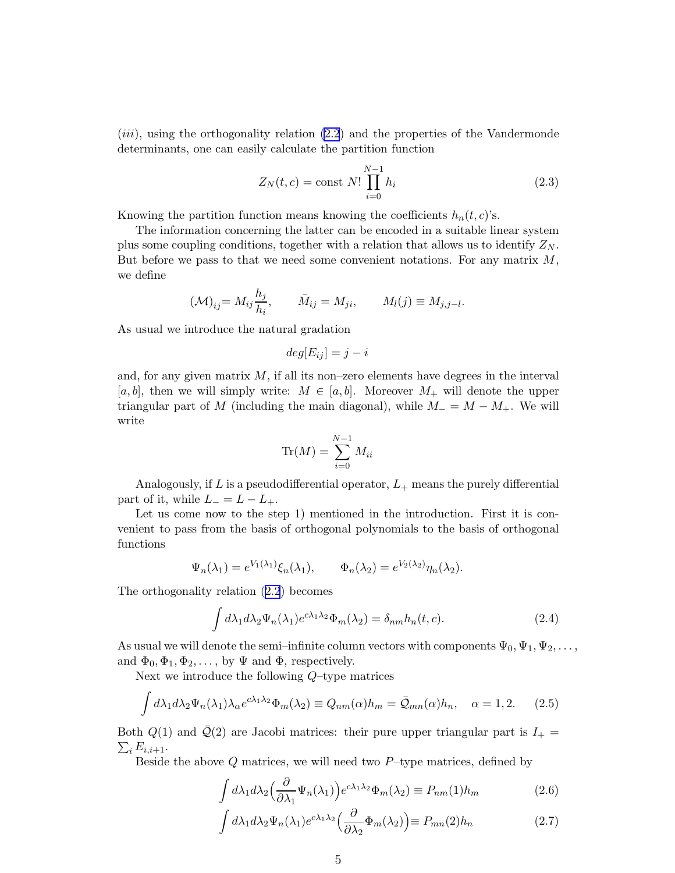<span id="page-4-0"></span> $(iii)$ , using the orthogonality relation  $(2.2)$  $(2.2)$  and the properties of the Vandermonde determinants, one can easily calculate the partition function

$$
Z_N(t, c) = \text{const } N! \prod_{i=0}^{N-1} h_i
$$
 (2.3)

.

Knowing the partition function means knowing the coefficients  $h_n(t, c)$ 's.

The information concerning the latter can be encoded in a suitable linear system plus some coupling conditions, together with a relation that allows us to identify  $Z_N$ . But before we pass to that we need some convenient notations. For any matrix  $M$ , we define

$$
(\mathcal{M})_{ij} = M_{ij} \frac{h_j}{h_i}, \qquad \bar{M}_{ij} = M_{ji}, \qquad M_l(j) \equiv M_{j,j-l}
$$

As usual we introduce the natural gradation

$$
deg[E_{ij}] = j - i
$$

and, for any given matrix  $M$ , if all its non–zero elements have degrees in the interval [a, b], then we will simply write:  $M \in [a, b]$ . Moreover  $M_+$  will denote the upper triangular part of M (including the main diagonal), while  $M = M - M_{+}$ . We will write

$$
\operatorname{Tr}(M) = \sum_{i=0}^{N-1} M_{ii}
$$

Analogously, if L is a pseudodifferential operator,  $L_{+}$  means the purely differential part of it, while  $L_-=L-L_+$ .

Let us come now to the step 1) mentioned in the introduction. First it is convenient to pass from the basis of orthogonal polynomials to the basis of orthogonal functions

$$
\Psi_n(\lambda_1) = e^{V_1(\lambda_1)} \xi_n(\lambda_1), \qquad \Phi_n(\lambda_2) = e^{V_2(\lambda_2)} \eta_n(\lambda_2).
$$

The orthogonality relation ([2.2](#page-3-0)) becomes

$$
\int d\lambda_1 d\lambda_2 \Psi_n(\lambda_1) e^{c\lambda_1 \lambda_2} \Phi_m(\lambda_2) = \delta_{nm} h_n(t, c).
$$
 (2.4)

As usual we will denote the semi-infinite column vectors with components  $\Psi_0, \Psi_1, \Psi_2, \ldots$ , and  $\Phi_0, \Phi_1, \Phi_2, \ldots$ , by  $\Psi$  and  $\Phi$ , respectively.

Next we introduce the following Q–type matrices

$$
\int d\lambda_1 d\lambda_2 \Psi_n(\lambda_1) \lambda_\alpha e^{c\lambda_1 \lambda_2} \Phi_m(\lambda_2) \equiv Q_{nm}(\alpha) h_m = \bar{Q}_{mn}(\alpha) h_n, \quad \alpha = 1, 2. \tag{2.5}
$$

Both  $Q(1)$  and  $\overline{Q}(2)$  are Jacobi matrices: their pure upper triangular part is  $I_+$  $\sum_i E_{i,i+1}.$ 

Beside the above  $Q$  matrices, we will need two  $P$ -type matrices, defined by

$$
\int d\lambda_1 d\lambda_2 \left(\frac{\partial}{\partial \lambda_1} \Psi_n(\lambda_1)\right) e^{c\lambda_1 \lambda_2} \Phi_m(\lambda_2) \equiv P_{nm}(1) h_m \tag{2.6}
$$

$$
\int d\lambda_1 d\lambda_2 \Psi_n(\lambda_1) e^{c\lambda_1 \lambda_2} \left(\frac{\partial}{\partial \lambda_2} \Phi_m(\lambda_2)\right) \equiv P_{mn}(2) h_n \tag{2.7}
$$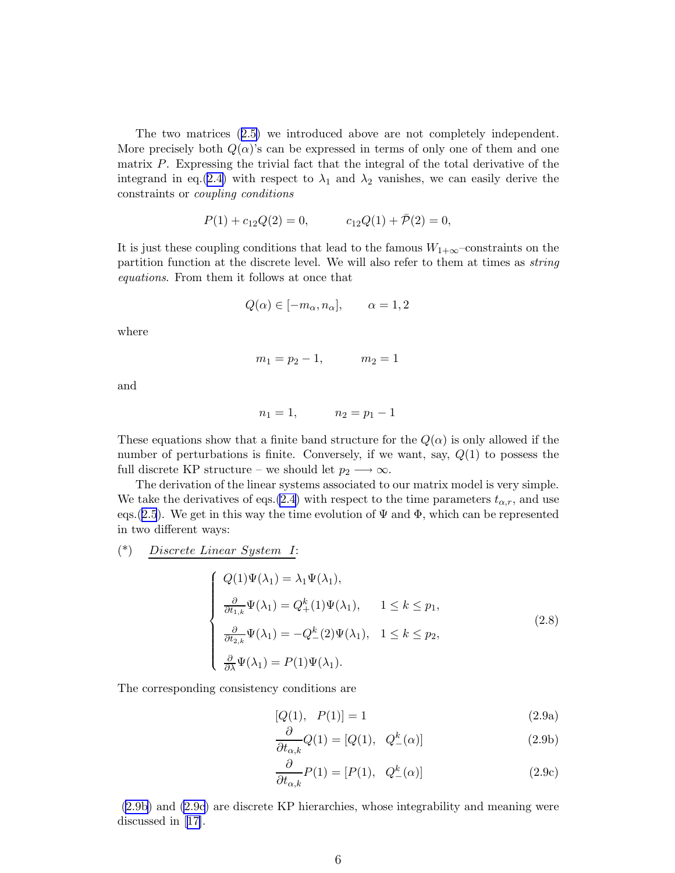The two matrices ([2.5\)](#page-4-0) we introduced above are not completely independent. More precisely both  $Q(\alpha)$ 's can be expressed in terms of only one of them and one matrix P. Expressing the trivial fact that the integral of the total derivative of the integrand in eq.([2.4\)](#page-4-0) with respect to  $\lambda_1$  and  $\lambda_2$  vanishes, we can easily derive the constraints or coupling conditions

$$
P(1) + c_{12}Q(2) = 0, \t c_{12}Q(1) + \overline{P}(2) = 0,
$$

It is just these coupling conditions that lead to the famous  $W_{1+\infty}$ –constraints on the partition function at the discrete level. We will also refer to them at times as string equations. From them it follows at once that

$$
Q(\alpha) \in [-m_{\alpha}, n_{\alpha}], \qquad \alpha = 1, 2
$$

where

$$
m_1 = p_2 - 1, \qquad m_2 = 1
$$

and

$$
n_1 = 1, \qquad n_2 = p_1 - 1
$$

These equations show that a finite band structure for the  $Q(\alpha)$  is only allowed if the number of perturbations is finite. Conversely, if we want, say,  $Q(1)$  to possess the full discrete KP structure – we should let  $p_2 \longrightarrow \infty$ .

The derivation of the linear systems associated to our matrix model is very simple. We take the derivatives of eqs.[\(2.4](#page-4-0)) with respect to the time parameters  $t_{\alpha,r}$ , and use eqs.([2.5](#page-4-0)). We get in this way the time evolution of  $\Psi$  and  $\Phi$ , which can be represented in two different ways:

(\*) Discrete Linear System I:

$$
\begin{cases}\nQ(1)\Psi(\lambda_1) = \lambda_1 \Psi(\lambda_1), \\
\frac{\partial}{\partial t_{1,k}} \Psi(\lambda_1) = Q_+^k(1)\Psi(\lambda_1), \quad 1 \le k \le p_1, \\
\frac{\partial}{\partial t_{2,k}} \Psi(\lambda_1) = -Q_-^k(2)\Psi(\lambda_1), \quad 1 \le k \le p_2, \\
\frac{\partial}{\partial \lambda} \Psi(\lambda_1) = P(1)\Psi(\lambda_1).\n\end{cases} (2.8)
$$

The corresponding consistency conditions are

$$
[Q(1), P(1)] = 1 \tag{2.9a}
$$

$$
\frac{\partial}{\partial t_{\alpha,k}}Q(1) = [Q(1), \quad Q_{-}^{k}(\alpha)]
$$
\n(2.9b)

$$
\frac{\partial}{\partial t_{\alpha,k}}P(1) = [P(1), \quad Q_{-}^{k}(\alpha)]
$$
\n(2.9c)

(2.9b) and (2.9c) are discrete KP hierarchies, whose integrability and meaning were discussed in[[17\]](#page-37-0).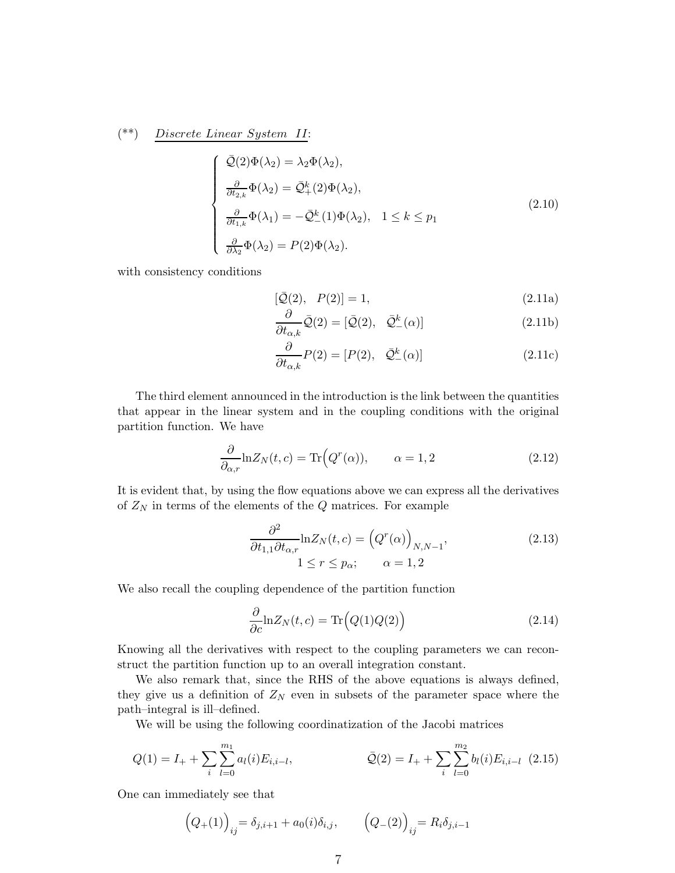<span id="page-6-0"></span>
$$
(**) \quad Discrete\ Linear\ System\ II:
$$

$$
\begin{cases}\n\bar{\mathcal{Q}}(2)\Phi(\lambda_2) = \lambda_2 \Phi(\lambda_2), \\
\frac{\partial}{\partial t_{2,k}} \Phi(\lambda_2) = \bar{\mathcal{Q}}_+^k(2)\Phi(\lambda_2), \\
\frac{\partial}{\partial t_{1,k}} \Phi(\lambda_1) = -\bar{\mathcal{Q}}_-^k(1)\Phi(\lambda_2), \quad 1 \le k \le p_1 \\
\frac{\partial}{\partial \lambda_2} \Phi(\lambda_2) = P(2)\Phi(\lambda_2).\n\end{cases}
$$
\n(2.10)

with consistency conditions

$$
[\bar{Q}(2), P(2)] = 1, \t(2.11a)
$$

$$
\frac{\partial}{\partial t_{\alpha,k}}\bar{\mathcal{Q}}(2) = [\bar{\mathcal{Q}}(2), \quad \bar{\mathcal{Q}}_{-}^{k}(\alpha)]
$$
\n(2.11b)

$$
\frac{\partial}{\partial t_{\alpha,k}}P(2) = [P(2), \quad \bar{\mathcal{Q}}_{-}^{k}(\alpha)] \tag{2.11c}
$$

The third element announced in the introduction is the link between the quantities that appear in the linear system and in the coupling conditions with the original partition function. We have

$$
\frac{\partial}{\partial_{\alpha,r}} \ln Z_N(t, c) = \text{Tr}\Big(Q^r(\alpha)), \qquad \alpha = 1, 2 \tag{2.12}
$$

It is evident that, by using the flow equations above we can express all the derivatives of  $Z_N$  in terms of the elements of the Q matrices. For example

$$
\frac{\partial^2}{\partial t_{1,1}\partial t_{\alpha,r}}\ln Z_N(t,c) = \left(Q^r(\alpha)\right)_{N,N-1},\tag{2.13}
$$
\n
$$
1 \le r \le p_\alpha; \qquad \alpha = 1,2
$$

We also recall the coupling dependence of the partition function

$$
\frac{\partial}{\partial c} \ln Z_N(t, c) = \text{Tr}\Big(Q(1)Q(2)\Big) \tag{2.14}
$$

Knowing all the derivatives with respect to the coupling parameters we can reconstruct the partition function up to an overall integration constant.

We also remark that, since the RHS of the above equations is always defined, they give us a definition of  $Z_N$  even in subsets of the parameter space where the path–integral is ill–defined.

We will be using the following coordinatization of the Jacobi matrices

$$
Q(1) = I_{+} + \sum_{i} \sum_{l=0}^{m_1} a_l(i) E_{i,i-l}, \qquad \qquad \bar{Q}(2) = I_{+} + \sum_{i} \sum_{l=0}^{m_2} b_l(i) E_{i,i-l} \tag{2.15}
$$

One can immediately see that

$$
(Q_{+}(1))_{ij} = \delta_{j,i+1} + a_0(i)\delta_{i,j}, \qquad (Q_{-}(2))_{ij} = R_i \delta_{j,i-1}
$$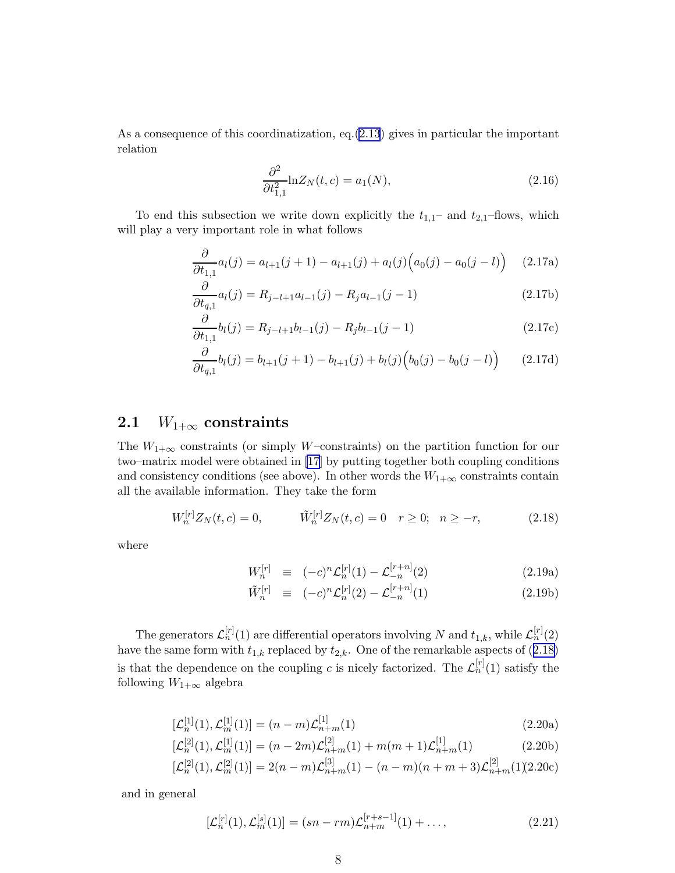<span id="page-7-0"></span>As a consequence of this coordinatization, eq.([2.13](#page-6-0)) gives in particular the important relation

$$
\frac{\partial^2}{\partial t_{1,1}^2} \ln Z_N(t, c) = a_1(N),\tag{2.16}
$$

To end this subsection we write down explicitly the  $t_{1,1}$ – and  $t_{2,1}$ –flows, which will play a very important role in what follows

$$
\frac{\partial}{\partial t_{1,1}} a_l(j) = a_{l+1}(j+1) - a_{l+1}(j) + a_l(j) \Big( a_0(j) - a_0(j-l) \Big) \tag{2.17a}
$$

$$
\frac{\partial}{\partial t_{q,1}} a_l(j) = R_{j-l+1} a_{l-1}(j) - R_j a_{l-1}(j-1)
$$
\n(2.17b)

$$
\frac{\partial}{\partial t_{1,1}}b_l(j) = R_{j-l+1}b_{l-1}(j) - R_jb_{l-1}(j-1)
$$
\n(2.17c)

$$
\frac{\partial}{\partial t_{q,1}}b_l(j) = b_{l+1}(j+1) - b_{l+1}(j) + b_l(j)\Big(b_0(j) - b_0(j-l)\Big) \tag{2.17d}
$$

#### 2.1  $W_{1+\infty}$  constraints

The  $W_{1+\infty}$  constraints (or simply W–constraints) on the partition function for our two–matrix model were obtained in [\[17](#page-37-0)] by putting together both coupling conditions and consistency conditions (see above). In other words the  $W_{1+\infty}$  constraints contain all the available information. They take the form

$$
W_n^{[r]}Z_N(t,c) = 0, \qquad \tilde{W}_n^{[r]}Z_N(t,c) = 0 \quad r \ge 0; \quad n \ge -r,
$$
\n(2.18)

where

$$
W_n^{[r]} \equiv (-c)^n \mathcal{L}_n^{[r]}(1) - \mathcal{L}_{-n}^{[r+n]}(2) \tag{2.19a}
$$

$$
\tilde{W}_n^{[r]} \equiv (-c)^n \mathcal{L}_n^{[r]}(2) - \mathcal{L}_{-n}^{[r+n]}(1) \tag{2.19b}
$$

The generators  $\mathcal{L}_n^{[r]}(1)$  are differential operators involving N and  $t_{1,k}$ , while  $\mathcal{L}_n^{[r]}(2)$ have the same form with  $t_{1,k}$  replaced by  $t_{2,k}$ . One of the remarkable aspects of (2.18) is that the dependence on the coupling c is nicely factorized. The  $\mathcal{L}_n^{[r]}(1)$  satisfy the following  $W_{1+\infty}$  algebra

$$
[\mathcal{L}_n^{[1]}(1), \mathcal{L}_m^{[1]}(1)] = (n - m)\mathcal{L}_{n+m}^{[1]}(1)
$$
\n(2.20a)

$$
[\mathcal{L}_n^{[2]}(1), \mathcal{L}_m^{[1]}(1)] = (n - 2m)\mathcal{L}_{n+m}^{[2]}(1) + m(m+1)\mathcal{L}_{n+m}^{[1]}(1)
$$
(2.20b)

$$
[\mathcal{L}_n^{[2]}(1), \mathcal{L}_m^{[2]}(1)] = 2(n-m)\mathcal{L}_{n+m}^{[3]}(1) - (n-m)(n+m+3)\mathcal{L}_{n+m}^{[2]}(1)(2.20c)
$$

and in general

$$
[\mathcal{L}_n^{[r]}(1), \mathcal{L}_m^{[s]}(1)] = (sn - rm)\mathcal{L}_{n+m}^{[r+s-1]}(1) + ...,
$$
\n(2.21)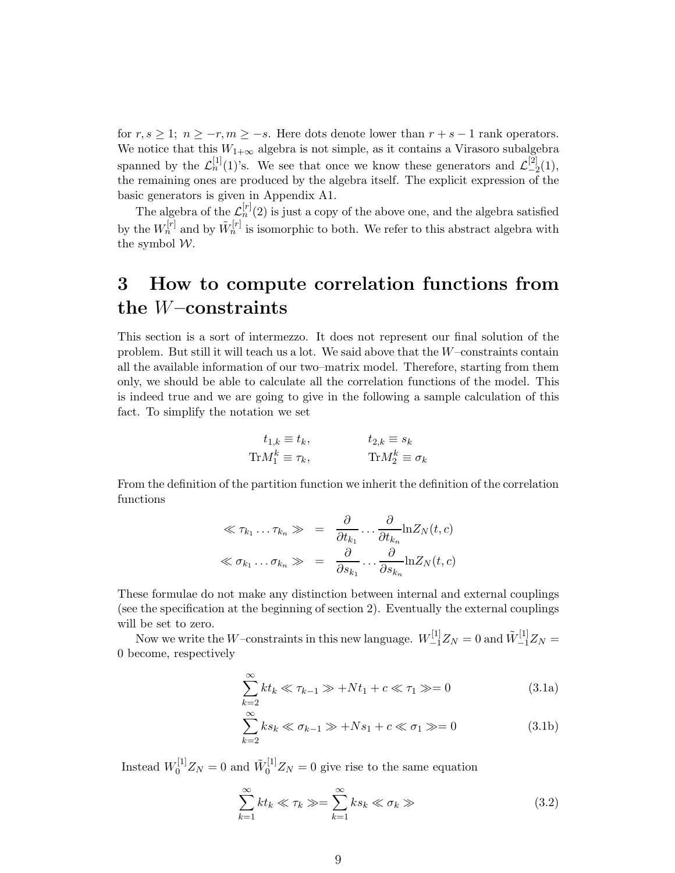<span id="page-8-0"></span>for  $r, s \geq 1$ ;  $n \geq -r, m \geq -s$ . Here dots denote lower than  $r + s - 1$  rank operators. We notice that this  $W_{1+\infty}$  algebra is not simple, as it contains a Virasoro subalgebra spanned by the  $\mathcal{L}_n^{[1]}(1)$ 's. We see that once we know these generators and  $\mathcal{L}_{-2}^{[2]}$  $\binom{[2]}{-2}(1),$ the remaining ones are produced by the algebra itself. The explicit expression of the basic generators is given in Appendix A1.

The algebra of the  $\mathcal{L}_n^{[r]}(2)$  is just a copy of the above one, and the algebra satisfied by the  $W_n^{[r]}$  and by  $\tilde{W}_n^{[r]}$  is isomorphic to both. We refer to this abstract algebra with the symbol W.

## 3 How to compute correlation functions from the W–constraints

This section is a sort of intermezzo. It does not represent our final solution of the problem. But still it will teach us a lot. We said above that the W–constraints contain all the available information of our two–matrix model. Therefore, starting from them only, we should be able to calculate all the correlation functions of the model. This is indeed true and we are going to give in the following a sample calculation of this fact. To simplify the notation we set

$$
t_{1,k} \equiv t_k, \qquad t_{2,k} \equiv s_k
$$
  
\n
$$
\text{Tr}M_1^k \equiv \tau_k, \qquad \text{Tr}M_2^k \equiv \sigma_k
$$

From the definition of the partition function we inherit the definition of the correlation functions

$$
\ll \tau_{k_1} \dots \tau_{k_n} \gg \quad = \quad \frac{\partial}{\partial t_{k_1}} \dots \frac{\partial}{\partial t_{k_n}} \ln Z_N(t, c)
$$
\n
$$
\ll \sigma_{k_1} \dots \sigma_{k_n} \gg \quad = \quad \frac{\partial}{\partial s_{k_1}} \dots \frac{\partial}{\partial s_{k_n}} \ln Z_N(t, c)
$$

These formulae do not make any distinction between internal and external couplings (see the specification at the beginning of section 2). Eventually the external couplings will be set to zero.

Now we write the  $W$ –constraints in this new language.  $W_{-1}^{[1]}Z_N = 0$  and  $\tilde{W}_{-1}^{[1]}Z_N = 0$ 0 become, respectively

$$
\sum_{k=2}^{\infty} kt_k \ll \tau_{k-1} \gg + Nt_1 + c \ll \tau_1 \gg = 0
$$
\n(3.1a)

$$
\sum_{k=2}^{\infty} ks_k \ll \sigma_{k-1} \gg +Ns_1 + c \ll \sigma_1 \gg = 0
$$
\n(3.1b)

Instead  $W_0^{[1]}Z_N = 0$  and  $\tilde{W}_0^{[1]}Z_N = 0$  give rise to the same equation

$$
\sum_{k=1}^{\infty} kt_k \ll \tau_k \gg = \sum_{k=1}^{\infty} ks_k \ll \sigma_k \gg
$$
\n(3.2)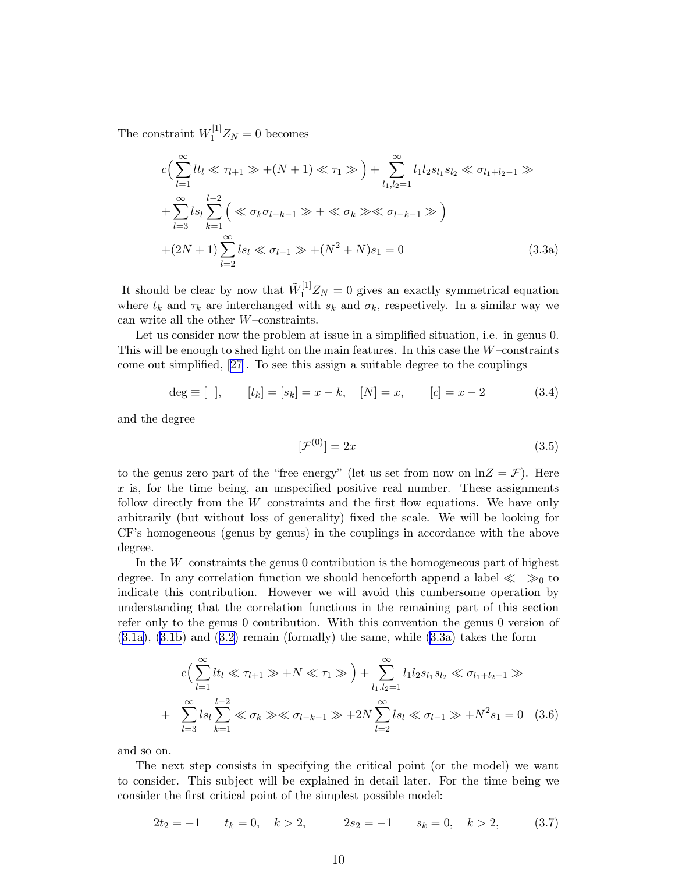<span id="page-9-0"></span>The constraint  $W_1^{[1]}Z_N = 0$  becomes

$$
c\left(\sum_{l=1}^{\infty} lt_l \ll \tau_{l+1} \gg + (N+1) \ll \tau_1 \gg \right) + \sum_{l_1, l_2=1}^{\infty} l_1 l_2 s_{l_1} s_{l_2} \ll \sigma_{l_1+l_2-1} \gg + \sum_{l=3}^{\infty} ls_l \sum_{k=1}^{l-2} \left( \ll \sigma_k \sigma_{l-k-1} \gg + \ll \sigma_k \gg \ll \sigma_{l-k-1} \gg \right) + (2N+1) \sum_{l=2}^{\infty} ls_l \ll \sigma_{l-1} \gg + (N^2+N)s_1 = 0
$$
 (3.3a)

It should be clear by now that  $\tilde{W}_1^{[1]}Z_N = 0$  gives an exactly symmetrical equation where  $t_k$  and  $\tau_k$  are interchanged with  $s_k$  and  $\sigma_k$ , respectively. In a similar way we can write all the other W–constraints.

Let us consider now the problem at issue in a simplified situation, i.e. in genus 0. This will be enough to shed light on the main features. In this case the  $W$ –constraints come out simplified, [\[27\]](#page-37-0). To see this assign a suitable degree to the couplings

$$
\deg \equiv [ \ ] , \qquad [t_k] = [s_k] = x - k , \quad [N] = x , \qquad [c] = x - 2 \tag{3.4}
$$

and the degree

$$
[\mathcal{F}^{(0)}] = 2x \tag{3.5}
$$

to the genus zero part of the "free energy" (let us set from now on  $\ln Z = \mathcal{F}$ ). Here  $x$  is, for the time being, an unspecified positive real number. These assignments follow directly from the W–constraints and the first flow equations. We have only arbitrarily (but without loss of generality) fixed the scale. We will be looking for CF's homogeneous (genus by genus) in the couplings in accordance with the above degree.

In the  $W$ -constraints the genus 0 contribution is the homogeneous part of highest degree. In any correlation function we should henceforth append a label  $\ll \gg_0$  to indicate this contribution. However we will avoid this cumbersome operation by understanding that the correlation functions in the remaining part of this section refer only to the genus 0 contribution. With this convention the genus 0 version of ([3.1a\)](#page-8-0), [\(3.1b](#page-8-0)) and ([3.2\)](#page-8-0) remain (formally) the same, while (3.3a) takes the form

$$
c\left(\sum_{l=1}^{\infty} lt_l \ll \tau_{l+1} \gg +N \ll \tau_1 \gg\right) + \sum_{l_1,l_2=1}^{\infty} l_1 l_2 s_{l_1} s_{l_2} \ll \sigma_{l_1+l_2-1} \gg
$$
  
+ 
$$
\sum_{l=3}^{\infty} l s_l \sum_{k=1}^{l-2} \ll \sigma_k \gg \ll \sigma_{l-k-1} \gg +2N \sum_{l=2}^{\infty} l s_l \ll \sigma_{l-1} \gg +N^2 s_1 = 0
$$
 (3.6)

and so on.

The next step consists in specifying the critical point (or the model) we want to consider. This subject will be explained in detail later. For the time being we consider the first critical point of the simplest possible model:

$$
2t_2 = -1 \qquad t_k = 0, \quad k > 2, \qquad 2s_2 = -1 \qquad s_k = 0, \quad k > 2, \tag{3.7}
$$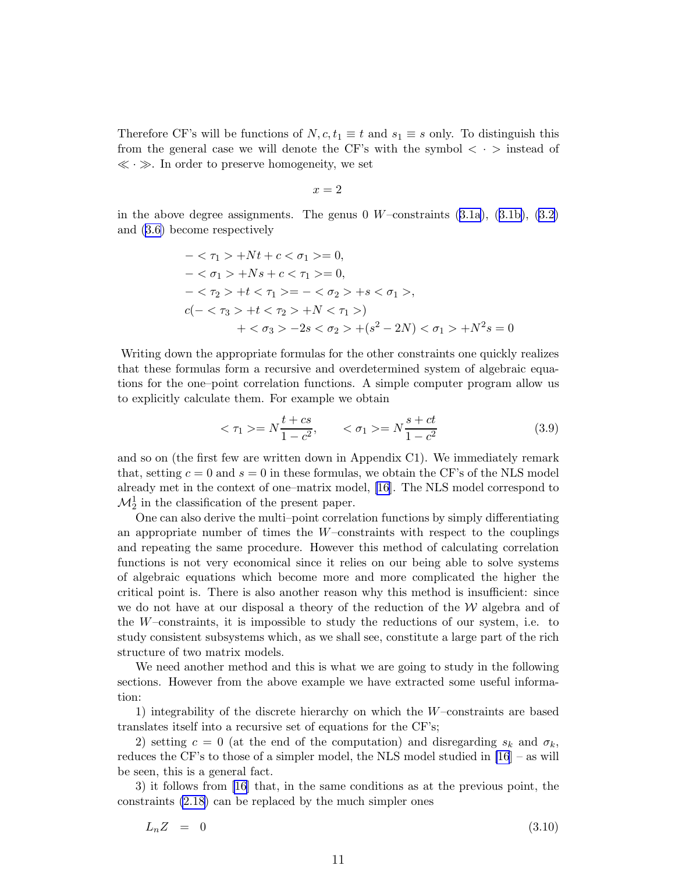<span id="page-10-0"></span>Therefore CF's will be functions of  $N, c, t_1 \equiv t$  and  $s_1 \equiv s$  only. To distinguish this from the general case we will denote the CF's with the symbol  $\langle \cdot \rangle$  instead of  $\ll \cdot \gg$ . In order to preserve homogeneity, we set

$$
x = 2
$$

in the above degree assignments. The genus 0  $W$ –constraints  $(3.1a)$  $(3.1a)$ ,  $(3.1b)$  $(3.1b)$ ,  $(3.2)$ and [\(3.6\)](#page-9-0) become respectively

$$
-\langle \tau_1 \rangle + Nt + c \langle \sigma_1 \rangle = 0,
$$
  
\n
$$
-\langle \sigma_1 \rangle + Ns + c \langle \tau_1 \rangle = 0,
$$
  
\n
$$
-\langle \tau_2 \rangle + t \langle \tau_1 \rangle = -\langle \sigma_2 \rangle + s \langle \sigma_1 \rangle,
$$
  
\n
$$
c(-\langle \tau_3 \rangle + t \langle \tau_2 \rangle + N \langle \tau_1 \rangle) + \langle \sigma_3 \rangle - 2s \langle \sigma_2 \rangle + (s^2 - 2N) \langle \sigma_1 \rangle + N^2s = 0
$$

Writing down the appropriate formulas for the other constraints one quickly realizes that these formulas form a recursive and overdetermined system of algebraic equations for the one–point correlation functions. A simple computer program allow us to explicitly calculate them. For example we obtain

$$
\langle \tau_1 \rangle = N \frac{t + cs}{1 - c^2}, \qquad \langle \sigma_1 \rangle = N \frac{s + ct}{1 - c^2} \tag{3.9}
$$

and so on (the first few are written down in Appendix C1). We immediately remark that, setting  $c = 0$  and  $s = 0$  in these formulas, we obtain the CF's of the NLS model already met in the context of one–matrix model, [\[16](#page-37-0)]. The NLS model correspond to  $\mathcal{M}_2^1$  in the classification of the present paper.

One can also derive the multi–point correlation functions by simply differentiating an appropriate number of times the  $W$ -constraints with respect to the couplings and repeating the same procedure. However this method of calculating correlation functions is not very economical since it relies on our being able to solve systems of algebraic equations which become more and more complicated the higher the critical point is. There is also another reason why this method is insufficient: since we do not have at our disposal a theory of the reduction of the  $W$  algebra and of the  $W$ –constraints, it is impossible to study the reductions of our system, i.e. to study consistent subsystems which, as we shall see, constitute a large part of the rich structure of two matrix models.

We need another method and this is what we are going to study in the following sections. However from the above example we have extracted some useful information:

1) integrability of the discrete hierarchy on which the W–constraints are based translates itself into a recursive set of equations for the CF's;

2) setting  $c = 0$  (at the end of the computation) and disregarding  $s_k$  and  $\sigma_k$ , reduces the CF's to those of a simpler model, the NLS model studied in [\[16](#page-37-0)] – as will be seen, this is a general fact.

3) it follows from [\[16\]](#page-37-0) that, in the same conditions as at the previous point, the constraints [\(2.18\)](#page-7-0) can be replaced by the much simpler ones

$$
L_n Z = 0 \tag{3.10}
$$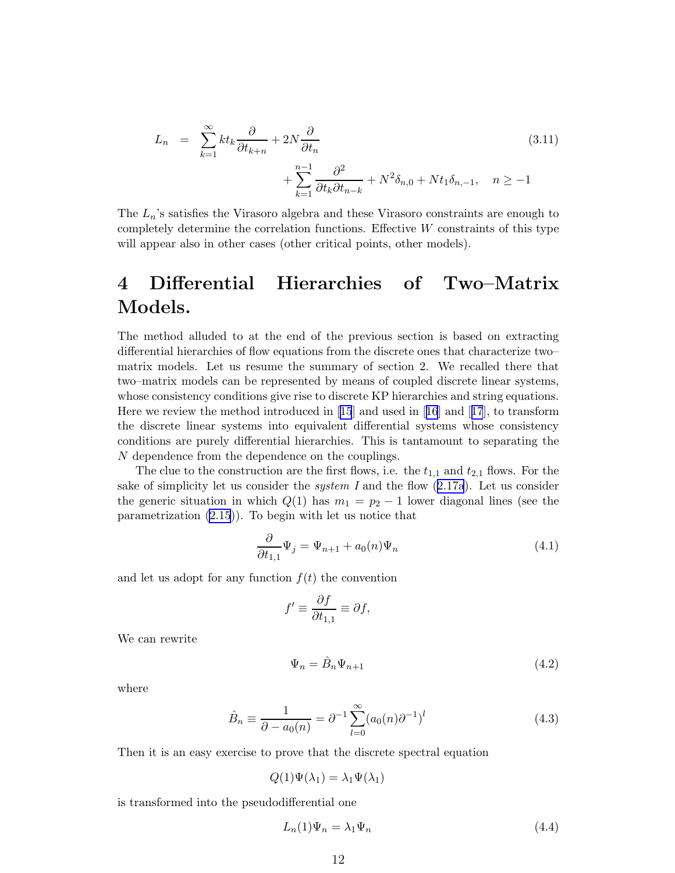$$
L_n = \sum_{k=1}^{\infty} kt_k \frac{\partial}{\partial t_{k+n}} + 2N \frac{\partial}{\partial t_n} + \sum_{k=1}^{n-1} \frac{\partial^2}{\partial t_k \partial t_{n-k}} + N^2 \delta_{n,0} + Nt_1 \delta_{n,-1}, \quad n \ge -1
$$
\n(3.11)

The  $L_n$ 's satisfies the Virasoro algebra and these Virasoro constraints are enough to completely determine the correlation functions. Effective  $W$  constraints of this type will appear also in other cases (other critical points, other models).

## 4 Differential Hierarchies of Two–Matrix Models.

The method alluded to at the end of the previous section is based on extracting differential hierarchies of flow equations from the discrete ones that characterize two– matrix models. Let us resume the summary of section 2. We recalled there that two–matrix models can be represented by means of coupled discrete linear systems, whose consistency conditions give rise to discrete KP hierarchies and string equations. Here we review the method introduced in[[15](#page-37-0)] and used in[[16](#page-37-0)] and[[17](#page-37-0)], to transform the discrete linear systems into equivalent differential systems whose consistency conditions are purely differential hierarchies. This is tantamount to separating the N dependence from the dependence on the couplings.

The clue to the construction are the first flows, i.e. the  $t_{1,1}$  and  $t_{2,1}$  flows. For the sake of simplicity let us consider the *system I* and the flow  $(2.17a)$  $(2.17a)$  $(2.17a)$ . Let us consider the generic situation in which  $Q(1)$  has  $m_1 = p_2 - 1$  lower diagonal lines (see the parametrization [\(2.15](#page-6-0))). To begin with let us notice that

$$
\frac{\partial}{\partial t_{1,1}} \Psi_j = \Psi_{n+1} + a_0(n) \Psi_n \tag{4.1}
$$

and let us adopt for any function  $f(t)$  the convention

$$
f' \equiv \frac{\partial f}{\partial t_{1,1}} \equiv \partial f,
$$

We can rewrite

$$
\Psi_n = \hat{B}_n \Psi_{n+1} \tag{4.2}
$$

where

$$
\hat{B}_n \equiv \frac{1}{\partial - a_0(n)} = \partial^{-1} \sum_{l=0}^{\infty} (a_0(n)\partial^{-1})^l
$$
\n(4.3)

Then it is an easy exercise to prove that the discrete spectral equation

$$
Q(1)\Psi(\lambda_1) = \lambda_1 \Psi(\lambda_1)
$$

is transformed into the pseudodifferential one

$$
L_n(1)\Psi_n = \lambda_1 \Psi_n \tag{4.4}
$$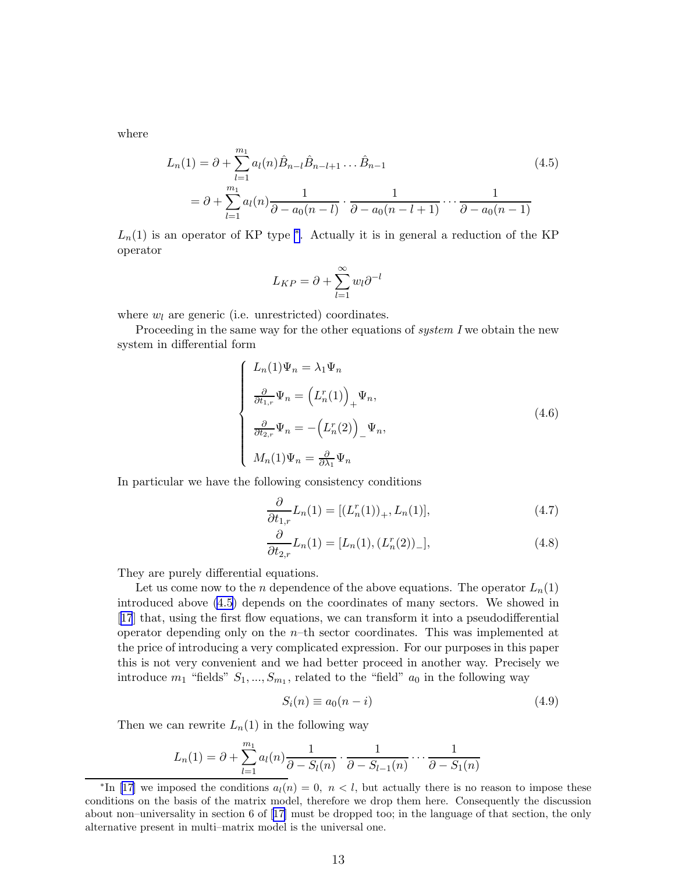<span id="page-12-0"></span>where

$$
L_n(1) = \partial + \sum_{l=1}^{m_1} a_l(n) \hat{B}_{n-l} \hat{B}_{n-l+1} \dots \hat{B}_{n-1}
$$
  
=  $\partial + \sum_{l=1}^{m_1} a_l(n) \frac{1}{\partial - a_0(n-l)} \cdot \frac{1}{\partial - a_0(n-l+1)} \dots \frac{1}{\partial - a_0(n-1)}$  (4.5)

 $L_n(1)$  is an operator of KP type  $*$ . Actually it is in general a reduction of the KP operator

$$
L_{KP} = \partial + \sum_{l=1}^{\infty} w_l \partial^{-l}
$$

where  $w_l$  are generic (i.e. unrestricted) coordinates.

Proceeding in the same way for the other equations of  $system I$  we obtain the new system in differential form

$$
\begin{cases}\nL_n(1)\Psi_n = \lambda_1 \Psi_n \\
\frac{\partial}{\partial t_{1,r}} \Psi_n = (L_n^r(1))_+ \Psi_n, \\
\frac{\partial}{\partial t_{2,r}} \Psi_n = -(L_n^r(2))_- \Psi_n, \\
M_n(1)\Psi_n = \frac{\partial}{\partial \lambda_1} \Psi_n\n\end{cases}
$$
\n(4.6)

In particular we have the following consistency conditions

$$
\frac{\partial}{\partial t_{1,r}} L_n(1) = [(L_n^r(1))_+, L_n(1)],\tag{4.7}
$$

$$
\frac{\partial}{\partial t_{2,r}} L_n(1) = [L_n(1), (L_n^r(2))_-\],\tag{4.8}
$$

They are purely differential equations.

Let us come now to the *n* dependence of the above equations. The operator  $L_n(1)$ introduced above (4.5) depends on the coordinates of many sectors. We showed in [[17](#page-37-0)] that, using the first flow equations, we can transform it into a pseudodifferential operator depending only on the  $n$ –th sector coordinates. This was implemented at the price of introducing a very complicated expression. For our purposes in this paper this is not very convenient and we had better proceed in another way. Precisely we introduce  $m_1$  "fields"  $S_1, ..., S_{m_1}$ , related to the "field"  $a_0$  in the following way

$$
S_i(n) \equiv a_0(n-i) \tag{4.9}
$$

Then we can rewrite  $L_n(1)$  in the following way

$$
L_n(1) = \partial + \sum_{l=1}^{m_1} a_l(n) \frac{1}{\partial S_l(n)} \cdot \frac{1}{\partial S_{l-1}(n)} \cdots \frac{1}{\partial S_{l-1}(n)}
$$

<sup>\*</sup>In[[17\]](#page-37-0) we imposed the conditions  $a_l(n) = 0, n < l$ , but actually there is no reason to impose these conditions on the basis of the matrix model, therefore we drop them here. Consequently the discussion about non–universality in section 6 of[[17](#page-37-0)] must be dropped too; in the language of that section, the only alternative present in multi–matrix model is the universal one.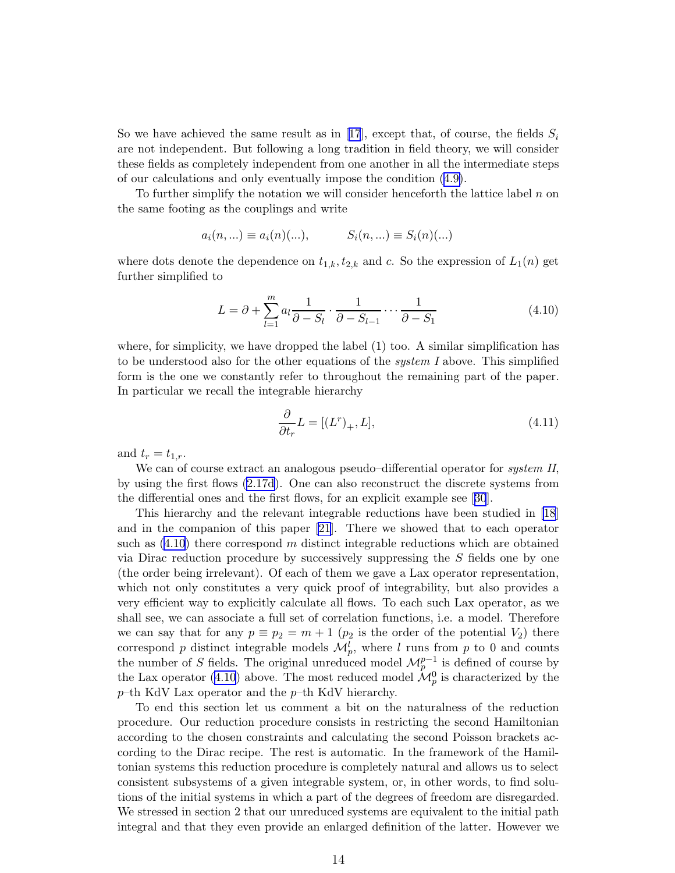Sowe have achieved the same result as in [[17](#page-37-0)], except that, of course, the fields  $S_i$ are not independent. But following a long tradition in field theory, we will consider these fields as completely independent from one another in all the intermediate steps of our calculations and only eventually impose the condition ([4.9\)](#page-12-0).

To further simplify the notation we will consider henceforth the lattice label  $n$  on the same footing as the couplings and write

$$
a_i(n,...) \equiv a_i(n)(...),
$$
  $S_i(n,...) \equiv S_i(n)(...)$ 

where dots denote the dependence on  $t_{1,k}$ ,  $t_{2,k}$  and c. So the expression of  $L_1(n)$  get further simplified to

$$
L = \partial + \sum_{l=1}^{m} a_l \frac{1}{\partial - S_l} \cdot \frac{1}{\partial - S_{l-1}} \cdots \frac{1}{\partial - S_1}
$$
(4.10)

where, for simplicity, we have dropped the label (1) too. A similar simplification has to be understood also for the other equations of the *system I* above. This simplified form is the one we constantly refer to throughout the remaining part of the paper. In particular we recall the integrable hierarchy

$$
\frac{\partial}{\partial t_r} L = [(L^r)_+, L],\tag{4.11}
$$

and  $t_r = t_{1,r}$ .

We can of course extract an analogous pseudo–differential operator for *system II*, by using the first flows ([2.17d](#page-7-0)). One can also reconstruct the discrete systems from the differential ones and the first flows, for an explicit example see[[30](#page-37-0)].

This hierarchy and the relevant integrable reductions have been studied in [\[18](#page-37-0)] and in the companion of this paper [\[21](#page-37-0)]. There we showed that to each operator such as  $(4.10)$  $(4.10)$  $(4.10)$  there correspond m distinct integrable reductions which are obtained via Dirac reduction procedure by successively suppressing the S fields one by one (the order being irrelevant). Of each of them we gave a Lax operator representation, which not only constitutes a very quick proof of integrability, but also provides a very efficient way to explicitly calculate all flows. To each such Lax operator, as we shall see, we can associate a full set of correlation functions, i.e. a model. Therefore we can say that for any  $p \equiv p_2 = m + 1$  ( $p_2$  is the order of the potential  $V_2$ ) there correspond p distinct integrable models  $\mathcal{M}_{p}^{l}$ , where l runs from p to 0 and counts the number of S fields. The original unreduced model  $\mathcal{M}_{p}^{p-1}$  is defined of course by the Lax operator ([4.10\)](#page-12-0) above. The most reduced model  $\mathcal{M}_{p}^{0}$  is characterized by the  $p$ –th KdV Lax operator and the  $p$ –th KdV hierarchy.

To end this section let us comment a bit on the naturalness of the reduction procedure. Our reduction procedure consists in restricting the second Hamiltonian according to the chosen constraints and calculating the second Poisson brackets according to the Dirac recipe. The rest is automatic. In the framework of the Hamiltonian systems this reduction procedure is completely natural and allows us to select consistent subsystems of a given integrable system, or, in other words, to find solutions of the initial systems in which a part of the degrees of freedom are disregarded. We stressed in section 2 that our unreduced systems are equivalent to the initial path integral and that they even provide an enlarged definition of the latter. However we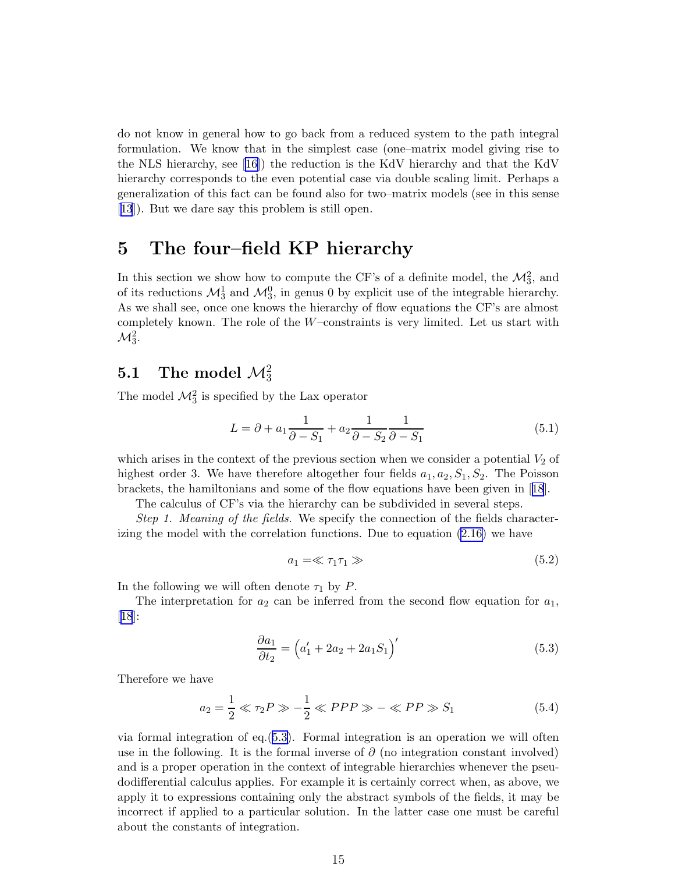<span id="page-14-0"></span>do not know in general how to go back from a reduced system to the path integral formulation. We know that in the simplest case (one–matrix model giving rise to the NLS hierarchy, see[[16\]](#page-37-0)) the reduction is the KdV hierarchy and that the KdV hierarchy corresponds to the even potential case via double scaling limit. Perhaps a generalization of this fact can be found also for two–matrix models (see in this sense [[13](#page-37-0)]). But we dare say this problem is still open.

### 5 The four–field KP hierarchy

In this section we show how to compute the CF's of a definite model, the  $\mathcal{M}_3^2$ , and of its reductions  $\mathcal{M}_3^1$  and  $\mathcal{M}_3^0$ , in genus 0 by explicit use of the integrable hierarchy. As we shall see, once one knows the hierarchy of flow equations the CF's are almost completely known. The role of the  $W$ –constraints is very limited. Let us start with  $\mathcal{M}^2_3.$ 

## $5.1$  The model  $\mathcal{M}^2_3$

The model  $\mathcal{M}_3^2$  is specified by the Lax operator

$$
L = \partial + a_1 \frac{1}{\partial - S_1} + a_2 \frac{1}{\partial - S_2} \frac{1}{\partial - S_1}
$$
\n
$$
(5.1)
$$

which arises in the context of the previous section when we consider a potential  $V_2$  of highest order 3. We have therefore altogether four fields  $a_1, a_2, S_1, S_2$ . The Poisson brackets, the hamiltonians and some of the flow equations have been given in[[18](#page-37-0)].

The calculus of CF's via the hierarchy can be subdivided in several steps.

Step 1. Meaning of the fields. We specify the connection of the fields characterizing the model with the correlation functions. Due to equation [\(2.16\)](#page-6-0) we have

$$
a_1 = \ll \tau_1 \tau_1 \gg \tag{5.2}
$$

In the following we will often denote  $\tau_1$  by P.

The interpretation for  $a_2$  can be inferred from the second flow equation for  $a_1$ , [[18](#page-37-0)]:

$$
\frac{\partial a_1}{\partial t_2} = (a'_1 + 2a_2 + 2a_1S_1)'
$$
\n(5.3)

Therefore we have

$$
a_2 = \frac{1}{2} \ll \tau_2 P \gg -\frac{1}{2} \ll PPP \gg -\ll PP \gg S_1 \tag{5.4}
$$

via formal integration of eq.(5.3). Formal integration is an operation we will often use in the following. It is the formal inverse of  $\partial$  (no integration constant involved) and is a proper operation in the context of integrable hierarchies whenever the pseudodifferential calculus applies. For example it is certainly correct when, as above, we apply it to expressions containing only the abstract symbols of the fields, it may be incorrect if applied to a particular solution. In the latter case one must be careful about the constants of integration.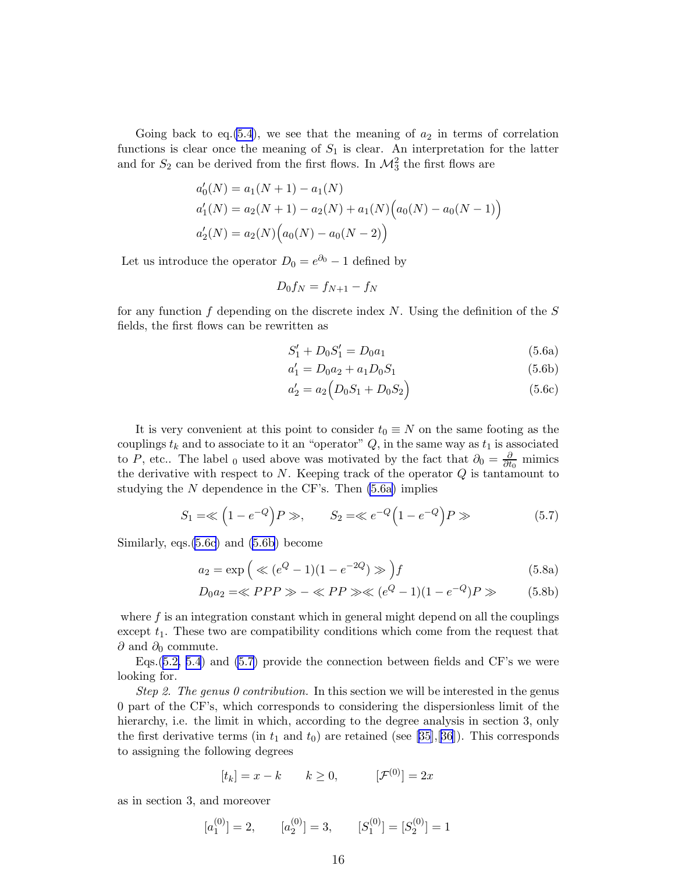<span id="page-15-0"></span>Going back to eq.  $(5.4)$  $(5.4)$ , we see that the meaning of  $a_2$  in terms of correlation functions is clear once the meaning of  $S_1$  is clear. An interpretation for the latter and for  $S_2$  can be derived from the first flows. In  $\mathcal{M}_3^2$  the first flows are

$$
a'_0(N) = a_1(N + 1) - a_1(N)
$$
  
\n
$$
a'_1(N) = a_2(N + 1) - a_2(N) + a_1(N) (a_0(N) - a_0(N - 1))
$$
  
\n
$$
a'_2(N) = a_2(N) (a_0(N) - a_0(N - 2))
$$

Let us introduce the operator  $D_0 = e^{\partial_0} - 1$  defined by

$$
D_0 f_N = f_{N+1} - f_N
$$

for any function f depending on the discrete index  $N$ . Using the definition of the  $S$ fields, the first flows can be rewritten as

$$
S_1' + D_0 S_1' = D_0 a_1 \tag{5.6a}
$$

$$
a_1' = D_0 a_2 + a_1 D_0 S_1 \tag{5.6b}
$$

$$
a_2' = a_2 \left( D_0 S_1 + D_0 S_2 \right) \tag{5.6c}
$$

It is very convenient at this point to consider  $t_0 \equiv N$  on the same footing as the couplings  $t_k$  and to associate to it an "operator"  $Q$ , in the same way as  $t_1$  is associated to P, etc.. The label <sub>0</sub> used above was motivated by the fact that  $\partial_0 = \frac{\partial}{\partial t_0}$  mimics the derivative with respect to  $N$ . Keeping track of the operator  $Q$  is tantamount to studying the  $N$  dependence in the CF's. Then  $(5.6a)$  implies

$$
S_1 = \ll (1 - e^{-Q})P \gg,
$$
  $S_2 = \ll e^{-Q}(1 - e^{-Q})P \gg$  (5.7)

Similarly, eqs.(5.6c) and (5.6b) become

$$
a_2 = \exp\left(\ll (e^Q - 1)(1 - e^{-2Q}) \gg \right) f \tag{5.8a}
$$

$$
D_0 a_2 = \ll PPP \gg - \ll PP \gg \ll (e^Q - 1)(1 - e^{-Q})P \gg \tag{5.8b}
$$

where  $f$  is an integration constant which in general might depend on all the couplings except  $t_1$ . These two are compatibility conditions which come from the request that  $\partial$  and  $\partial_0$  commute.

Eqs.([5.2, 5.4](#page-14-0)) and (5.7) provide the connection between fields and CF's we were looking for.

Step 2. The genus 0 contribution. In this section we will be interested in the genus 0 part of the CF's, which corresponds to considering the dispersionless limit of the hierarchy, i.e. the limit in which, according to the degree analysis in section 3, only the first derivative terms (in  $t_1$  and  $t_0$ ) are retained (see [\[35](#page-37-0)],[\[36](#page-37-0)]). This corresponds to assigning the following degrees

$$
[t_k] = x - k \qquad k \ge 0, \qquad [\mathcal{F}^{(0)}] = 2x
$$

as in section 3, and moreover

$$
[a_1^{(0)}] = 2,
$$
  $[a_2^{(0)}] = 3,$   $[S_1^{(0)}] = [S_2^{(0)}] = 1$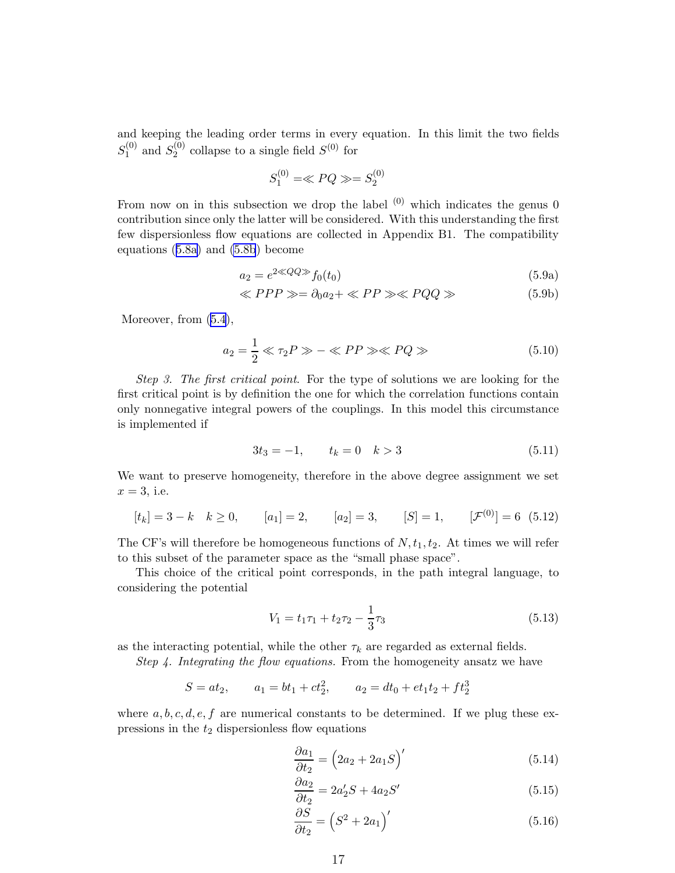<span id="page-16-0"></span>and keeping the leading order terms in every equation. In this limit the two fields  $S_1^{(0)}$  $_1^{(0)}$  and  $S_2^{(0)}$  $2^{(0)}$  collapse to a single field  $S^{(0)}$  for

$$
S_1^{(0)} = \ll PQ \gg = S_2^{(0)}
$$

From now on in this subsection we drop the label  $(0)$  which indicates the genus 0 contribution since only the latter will be considered. With this understanding the first few dispersionless flow equations are collected in Appendix B1. The compatibility equations ([5.8a\)](#page-15-0) and [\(5.8b](#page-15-0)) become

$$
a_2 = e^{2 \ll QQ \gg} f_0(t_0) \tag{5.9a}
$$

$$
\langle \langle PPP \rangle \rangle = \partial_0 a_2 + \langle \langle PP \rangle \rangle \langle PQQ \rangle \rangle \tag{5.9b}
$$

Moreover, from [\(5.4\)](#page-14-0),

$$
a_2 = \frac{1}{2} \ll \tau_2 P \gg - \ll PP \gg \ll PQ \gg \tag{5.10}
$$

Step 3. The first critical point. For the type of solutions we are looking for the first critical point is by definition the one for which the correlation functions contain only nonnegative integral powers of the couplings. In this model this circumstance is implemented if

$$
3t_3 = -1, \qquad t_k = 0 \quad k > 3 \tag{5.11}
$$

We want to preserve homogeneity, therefore in the above degree assignment we set  $x = 3$ , i.e.

$$
[t_k] = 3 - k \quad k \ge 0,
$$
  $[a_1] = 2,$   $[a_2] = 3,$   $[S] = 1,$   $[\mathcal{F}^{(0)}] = 6 \quad (5.12)$ 

The CF's will therefore be homogeneous functions of  $N, t_1, t_2$ . At times we will refer to this subset of the parameter space as the "small phase space".

This choice of the critical point corresponds, in the path integral language, to considering the potential

$$
V_1 = t_1 \tau_1 + t_2 \tau_2 - \frac{1}{3} \tau_3 \tag{5.13}
$$

as the interacting potential, while the other  $\tau_k$  are regarded as external fields.

Step 4. Integrating the flow equations. From the homogeneity ansatz we have

$$
S = at_2
$$
,  $a_1 = bt_1 + ct_2^2$ ,  $a_2 = dt_0 + et_1t_2 + ft_2^3$ 

where  $a, b, c, d, e, f$  are numerical constants to be determined. If we plug these expressions in the  $t_2$  dispersionless flow equations

$$
\frac{\partial a_1}{\partial t_2} = \left(2a_2 + 2a_1S\right)'
$$
\n(5.14)

$$
\frac{\partial a_2}{\partial t_2} = 2a'_2S + 4a_2S'
$$
\n
$$
(5.15)
$$

$$
\frac{\partial S}{\partial t_2} = \left(S^2 + 2a_1\right)'\tag{5.16}
$$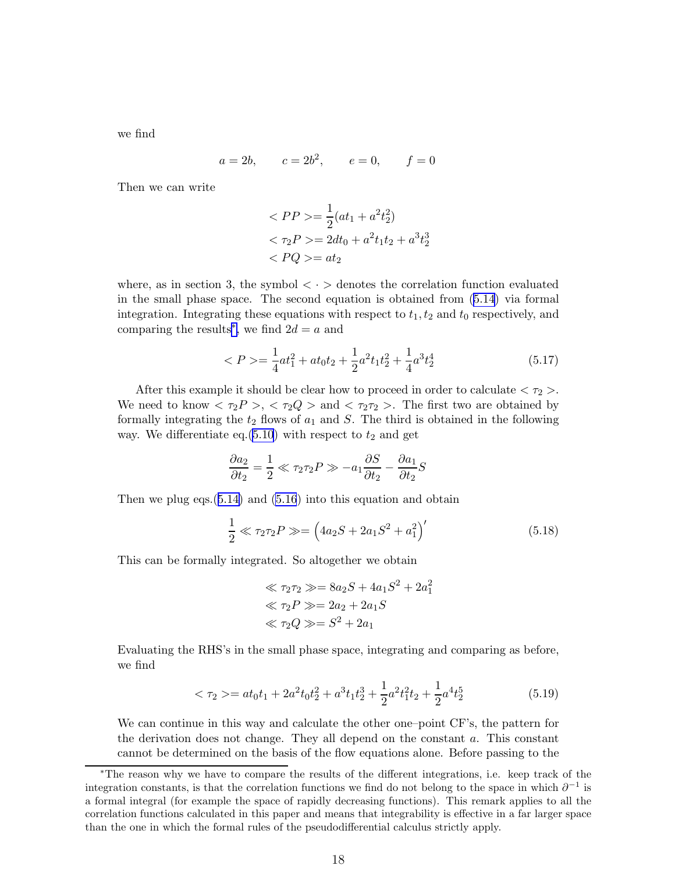<span id="page-17-0"></span>we find

$$
a = 2b
$$
,  $c = 2b^2$ ,  $e = 0$ ,  $f = 0$ 

Then we can write

$$
\langle PP \rangle = \frac{1}{2}(at_1 + a^2t_2^2)
$$
  

$$
\langle \tau_2 P \rangle = 2dt_0 + a^2t_1t_2 + a^3t_2^3
$$
  

$$
\langle PQ \rangle = at_2
$$

where, as in section 3, the symbol  $\langle \cdot \rangle$  denotes the correlation function evaluated in the small phase space. The second equation is obtained from ([5.14\)](#page-16-0) via formal integration. Integrating these equations with respect to  $t_1, t_2$  and  $t_0$  respectively, and comparing the results<sup>\*</sup>, we find  $2d = a$  and

$$
\langle P \rangle = \frac{1}{4}at_1^2 + at_0t_2 + \frac{1}{2}a^2t_1t_2^2 + \frac{1}{4}a^3t_2^4 \tag{5.17}
$$

After this example it should be clear how to proceed in order to calculate  $\langle \tau_2 \rangle$ . We need to know  $\langle \tau_2 P \rangle, \langle \tau_2 Q \rangle$  and  $\langle \tau_2 \tau_2 \rangle$ . The first two are obtained by formally integrating the  $t_2$  flows of  $a_1$  and S. The third is obtained in the following way. We differentiate eq.[\(5.10](#page-16-0)) with respect to  $t_2$  and get

$$
\frac{\partial a_2}{\partial t_2} = \frac{1}{2} \ll \tau_2 \tau_2 P \gg -a_1 \frac{\partial S}{\partial t_2} - \frac{\partial a_1}{\partial t_2} S
$$

Then we plug eqs. $(5.14)$  $(5.14)$  and  $(5.16)$  $(5.16)$  into this equation and obtain

$$
\frac{1}{2} \ll \tau_2 \tau_2 P \gg = \left(4a_2S + 2a_1S^2 + a_1^2\right)'
$$
\n(5.18)

This can be formally integrated. So altogether we obtain

$$
\ll \tau_2 \tau_2 \gg = 8a_2S + 4a_1S^2 + 2a_1^2
$$
  

$$
\ll \tau_2P \gg = 2a_2 + 2a_1S
$$
  

$$
\ll \tau_2Q \gg = S^2 + 2a_1
$$

Evaluating the RHS's in the small phase space, integrating and comparing as before, we find

$$
\langle \tau_2 \rangle = at_0 t_1 + 2a^2 t_0 t_2^2 + a^3 t_1 t_2^3 + \frac{1}{2} a^2 t_1^2 t_2 + \frac{1}{2} a^4 t_2^5 \tag{5.19}
$$

We can continue in this way and calculate the other one–point CF's, the pattern for the derivation does not change. They all depend on the constant a. This constant cannot be determined on the basis of the flow equations alone. Before passing to the

<sup>∗</sup>The reason why we have to compare the results of the different integrations, i.e. keep track of the integration constants, is that the correlation functions we find do not belong to the space in which  $\partial^{-1}$  is a formal integral (for example the space of rapidly decreasing functions). This remark applies to all the correlation functions calculated in this paper and means that integrability is effective in a far larger space than the one in which the formal rules of the pseudodifferential calculus strictly apply.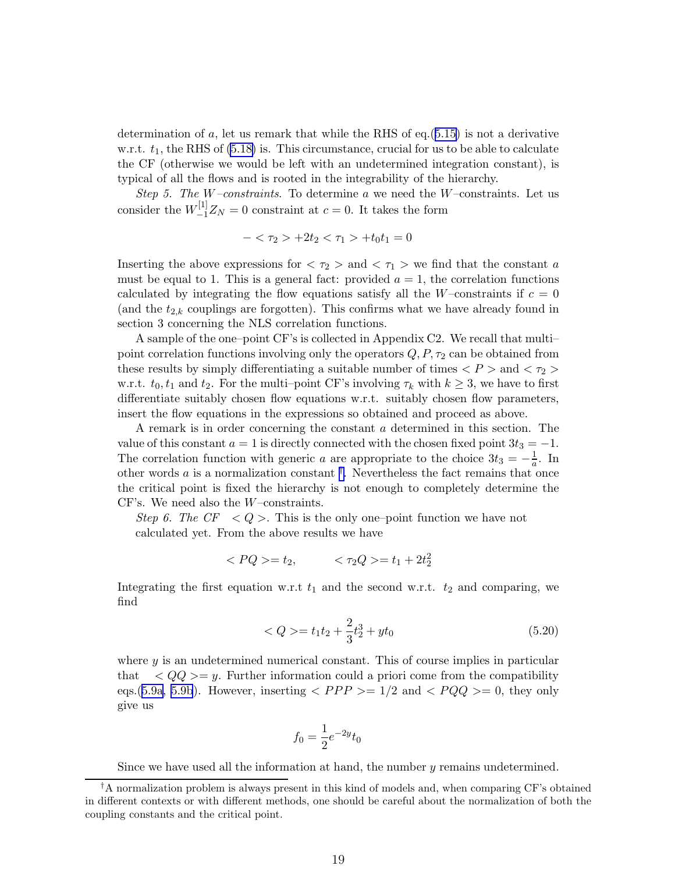determination of  $a$ , let us remark that while the RHS of eq.([5.15\)](#page-16-0) is not a derivative w.r.t.  $t_1$ , the RHS of  $(5.18)$  is. This circumstance, crucial for us to be able to calculate the CF (otherwise we would be left with an undetermined integration constant), is typical of all the flows and is rooted in the integrability of the hierarchy.

Step 5. The W-constraints. To determine a we need the W-constraints. Let us consider the  $W_{-1}^{[1]}Z_N = 0$  constraint at  $c = 0$ . It takes the form

$$
-<\tau_2>+2t_2<\tau_1>+t_0t_1=0
$$

Inserting the above expressions for  $\langle \tau_2 \rangle$  and  $\langle \tau_1 \rangle$  we find that the constant a must be equal to 1. This is a general fact: provided  $a = 1$ , the correlation functions calculated by integrating the flow equations satisfy all the W–constraints if  $c = 0$ (and the  $t_{2,k}$  couplings are forgotten). This confirms what we have already found in section 3 concerning the NLS correlation functions.

A sample of the one–point CF's is collected in Appendix C2. We recall that multi– point correlation functions involving only the operators  $Q, P, \tau_2$  can be obtained from these results by simply differentiating a suitable number of times  $\langle P \rangle$  and  $\langle \tau_2 \rangle$ w.r.t.  $t_0, t_1$  and  $t_2$ . For the multi–point CF's involving  $\tau_k$  with  $k \geq 3$ , we have to first differentiate suitably chosen flow equations w.r.t. suitably chosen flow parameters, insert the flow equations in the expressions so obtained and proceed as above.

A remark is in order concerning the constant a determined in this section. The value of this constant  $a = 1$  is directly connected with the chosen fixed point  $3t_3 = -1$ . The correlation function with generic a are appropriate to the choice  $3t_3 = -\frac{1}{a}$ . In other words  $a$  is a normalization constant  $^{\dagger}$ . Nevertheless the fact remains that once the critical point is fixed the hierarchy is not enough to completely determine the CF's. We need also the W–constraints.

Step 6. The  $CF < Q >$ . This is the only one-point function we have not calculated yet. From the above results we have

$$
\langle PQ \rangle = t_2, \qquad \langle \tau_2 Q \rangle = t_1 + 2t_2^2
$$

Integrating the first equation w.r.t  $t_1$  and the second w.r.t.  $t_2$  and comparing, we find

$$
\langle Q \rangle = t_1 t_2 + \frac{2}{3} t_2^3 + y t_0 \tag{5.20}
$$

where  $y$  is an undetermined numerical constant. This of course implies in particular that  $\langle QQ \rangle = y$ . Further information could a priori come from the compatibility eqs.([5.9a, 5.9b](#page-16-0)). However, inserting  $\langle PPP \rangle = 1/2$  and  $\langle PQQ \rangle = 0$ , they only give us

$$
f_0 = \frac{1}{2}e^{-2y}t_0
$$

Since we have used all the information at hand, the number y remains undetermined.

<sup>†</sup>A normalization problem is always present in this kind of models and, when comparing CF's obtained in different contexts or with different methods, one should be careful about the normalization of both the coupling constants and the critical point.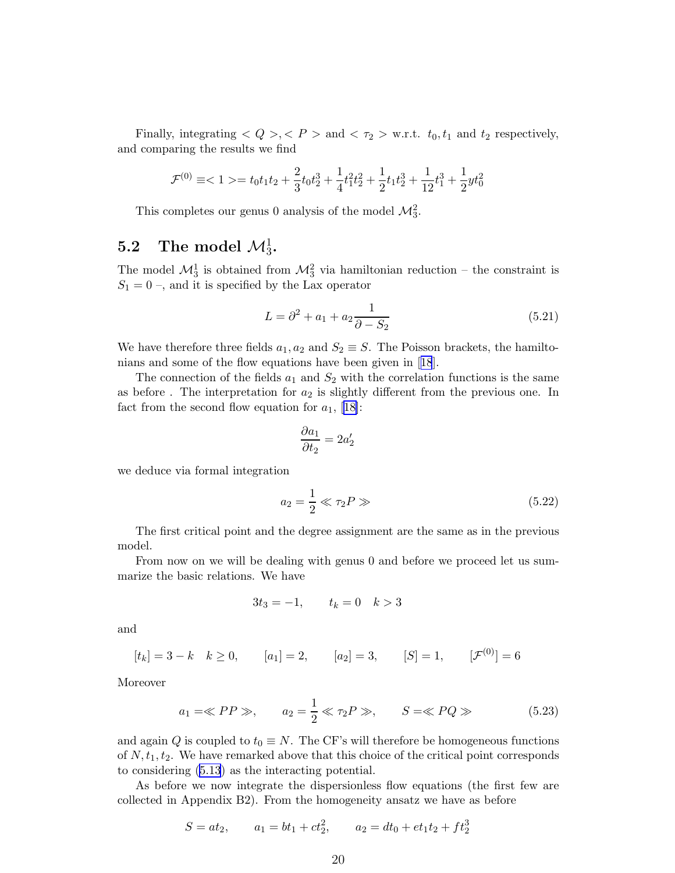<span id="page-19-0"></span>Finally, integrating  $\langle Q \rangle, \langle P \rangle$  and  $\langle \tau_2 \rangle$  w.r.t.  $t_0, t_1$  and  $t_2$  respectively, and comparing the results we find

$$
\mathcal{F}^{(0)}\equiv <1> = t_0t_1t_2+\frac{2}{3}t_0t_2^3+\frac{1}{4}t_1^2t_2^2+\frac{1}{2}t_1t_2^3+\frac{1}{12}t_1^3+\frac{1}{2}yt_0^2
$$

This completes our genus 0 analysis of the model  $\mathcal{M}_3^2$ .

## 5.2 The model  $\mathcal{M}_3^1$ .

The model  $\mathcal{M}_3^1$  is obtained from  $\mathcal{M}_3^2$  via hamiltonian reduction – the constraint is  $S_1 = 0$ , and it is specified by the Lax operator

$$
L = \partial^2 + a_1 + a_2 \frac{1}{\partial - S_2}
$$
 (5.21)

We have therefore three fields  $a_1, a_2$  and  $S_2 \equiv S$ . The Poisson brackets, the hamiltonians and some of the flow equations have been given in[[18](#page-37-0)].

The connection of the fields  $a_1$  and  $S_2$  with the correlation functions is the same as before. The interpretation for  $a_2$  is slightly different from the previous one. In fact from the second flow equation for  $a_1$ , [\[18\]](#page-37-0):

$$
\frac{\partial a_1}{\partial t_2} = 2a'_2
$$

we deduce via formal integration

$$
a_2 = \frac{1}{2} \ll \tau_2 P \gg \tag{5.22}
$$

The first critical point and the degree assignment are the same as in the previous model.

From now on we will be dealing with genus 0 and before we proceed let us summarize the basic relations. We have

$$
3t_3 = -1, \qquad t_k = 0 \quad k > 3
$$

and

$$
[t_k] = 3 - k \quad k \ge 0,
$$
  $[a_1] = 2,$   $[a_2] = 3,$   $[S] = 1,$   $[\mathcal{F}^{(0)}] = 6$ 

Moreover

$$
a_1 = \ll PP \gg, \qquad a_2 = \frac{1}{2} \ll \tau_2 P \gg, \qquad S = \ll PQ \gg \tag{5.23}
$$

and again Q is coupled to  $t_0 \equiv N$ . The CF's will therefore be homogeneous functions of  $N, t_1, t_2$ . We have remarked above that this choice of the critical point corresponds to considering [\(5.13](#page-16-0)) as the interacting potential.

As before we now integrate the dispersionless flow equations (the first few are collected in Appendix B2). From the homogeneity ansatz we have as before

$$
S = at_2, \qquad a_1 = bt_1 + ct_2^2, \qquad a_2 = dt_0 + et_1t_2 + ft_2^3
$$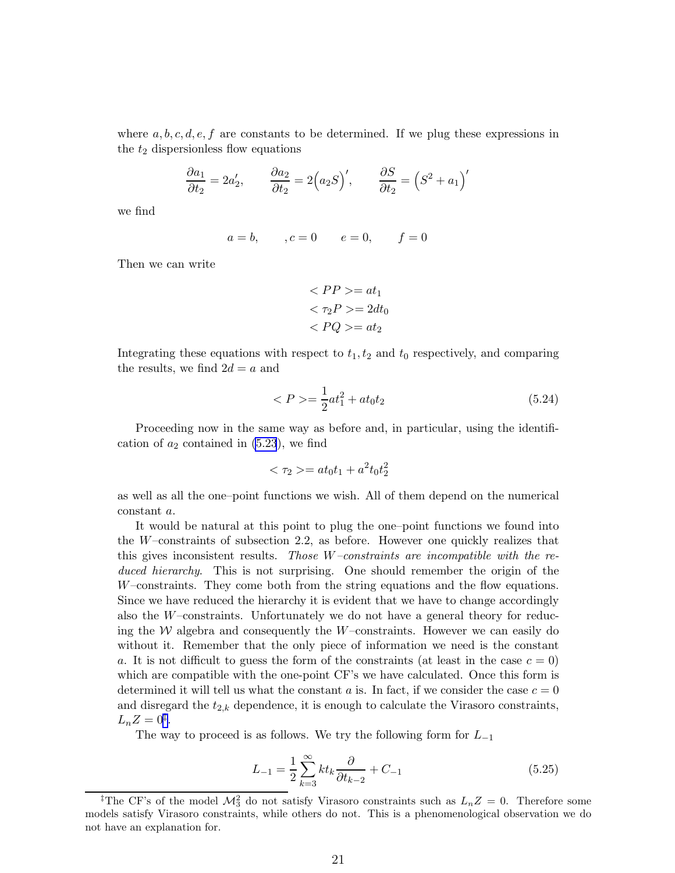where  $a, b, c, d, e, f$  are constants to be determined. If we plug these expressions in the  $t_2$  dispersionless flow equations

$$
\frac{\partial a_1}{\partial t_2} = 2a'_2, \qquad \frac{\partial a_2}{\partial t_2} = 2(a_2S)', \qquad \frac{\partial S}{\partial t_2} = (S^2 + a_1)'
$$

we find

$$
a = b, \qquad, c = 0 \qquad e = 0, \qquad f = 0
$$

Then we can write

$$
\langle PP \rangle = at_1
$$
  

$$
\langle \tau_2 P \rangle = 2dt_0
$$
  

$$
\langle PQ \rangle = at_2
$$

Integrating these equations with respect to  $t_1, t_2$  and  $t_0$  respectively, and comparing the results, we find  $2d = a$  and

$$
\langle P \rangle = \frac{1}{2}at_1^2 + at_0t_2 \tag{5.24}
$$

Proceeding now in the same way as before and, in particular, using the identification of  $a_2$  contained in  $(5.23)$  $(5.23)$ , we find

$$
\langle \tau_2 \rangle = at_0 t_1 + a^2 t_0 t_2^2
$$

as well as all the one–point functions we wish. All of them depend on the numerical constant a.

It would be natural at this point to plug the one–point functions we found into the W–constraints of subsection 2.2, as before. However one quickly realizes that this gives inconsistent results. Those W–constraints are incompatible with the reduced hierarchy. This is not surprising. One should remember the origin of the W–constraints. They come both from the string equations and the flow equations. Since we have reduced the hierarchy it is evident that we have to change accordingly also the W–constraints. Unfortunately we do not have a general theory for reducing the  $W$  algebra and consequently the  $W$ –constraints. However we can easily do without it. Remember that the only piece of information we need is the constant a. It is not difficult to guess the form of the constraints (at least in the case  $c = 0$ ) which are compatible with the one-point CF's we have calculated. Once this form is determined it will tell us what the constant a is. In fact, if we consider the case  $c = 0$ and disregard the  $t_{2,k}$  dependence, it is enough to calculate the Virasoro constraints,  $L_n Z = 0^{\ddagger}.$ 

The way to proceed is as follows. We try the following form for  $L_{-1}$ 

$$
L_{-1} = \frac{1}{2} \sum_{k=3}^{\infty} k t_k \frac{\partial}{\partial t_{k-2}} + C_{-1}
$$
 (5.25)

<sup>&</sup>lt;sup>‡</sup>The CF's of the model  $\mathcal{M}_3^2$  do not satisfy Virasoro constraints such as  $L_nZ = 0$ . Therefore some models satisfy Virasoro constraints, while others do not. This is a phenomenological observation we do not have an explanation for.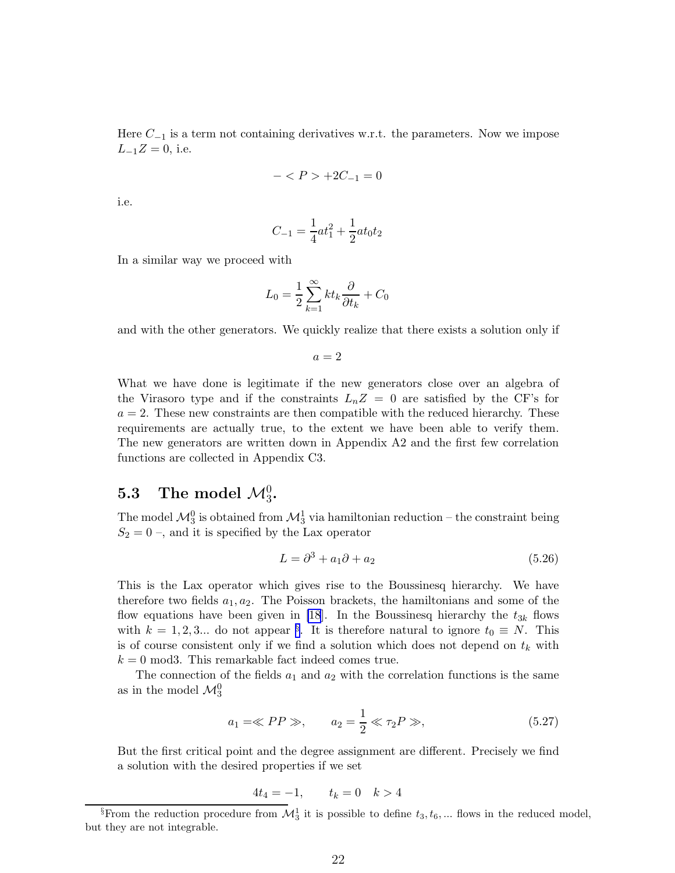<span id="page-21-0"></span>Here  $C_{-1}$  is a term not containing derivatives w.r.t. the parameters. Now we impose  $L_{-1}Z = 0$ , i.e.

$$
- < P > +2C_{-1} = 0
$$

i.e.

$$
C_{-1} = \frac{1}{4}at_1^2 + \frac{1}{2}at_0t_2
$$

In a similar way we proceed with

$$
L_0 = \frac{1}{2} \sum_{k=1}^{\infty} k t_k \frac{\partial}{\partial t_k} + C_0
$$

and with the other generators. We quickly realize that there exists a solution only if

 $a=2$ 

What we have done is legitimate if the new generators close over an algebra of the Virasoro type and if the constraints  $L_nZ = 0$  are satisfied by the CF's for  $a = 2$ . These new constraints are then compatible with the reduced hierarchy. These requirements are actually true, to the extent we have been able to verify them. The new generators are written down in Appendix A2 and the first few correlation functions are collected in Appendix C3.

## 5.3 The model  $\mathcal{M}_3^0$ .

The model  $\mathcal{M}^0_3$  is obtained from  $\mathcal{M}^1_3$  via hamiltonian reduction – the constraint being  $S_2 = 0$ , and it is specified by the Lax operator

$$
L = \partial^3 + a_1 \partial + a_2 \tag{5.26}
$$

This is the Lax operator which gives rise to the Boussinesq hierarchy. We have therefore two fields  $a_1, a_2$ . The Poisson brackets, the hamiltonians and some of the flow equations have been given in [\[18](#page-37-0)]. In the Boussinesq hierarchy the  $t_{3k}$  flows with  $k = 1, 2, 3...$  do not appear <sup>§</sup>. It is therefore natural to ignore  $t_0 \equiv N$ . This is of course consistent only if we find a solution which does not depend on  $t_k$  with  $k = 0$  mod3. This remarkable fact indeed comes true.

The connection of the fields  $a_1$  and  $a_2$  with the correlation functions is the same as in the model  $\mathcal{M}_3^0$ 

$$
a_1 = \ll PP \gg, \qquad a_2 = \frac{1}{2} \ll \tau_2 P \gg,
$$
\n
$$
(5.27)
$$

But the first critical point and the degree assignment are different. Precisely we find a solution with the desired properties if we set

$$
4t_4 = -1, \qquad t_k = 0 \quad k > 4
$$

<sup>&</sup>lt;sup>§</sup>From the reduction procedure from  $\mathcal{M}_3^1$  it is possible to define  $t_3, t_6, ...$  flows in the reduced model, but they are not integrable.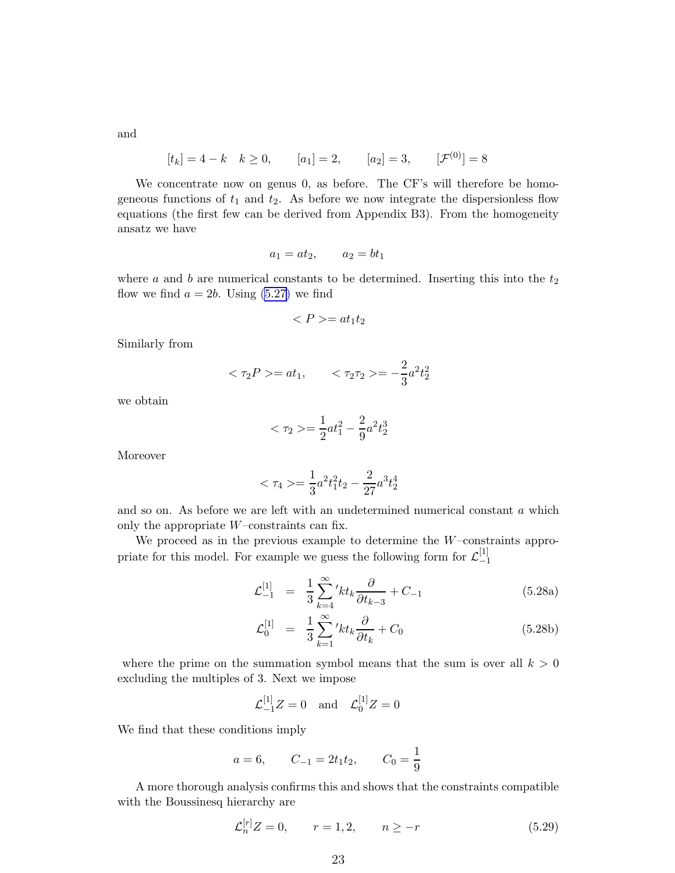and

$$
[t_k] = 4 - k \quad k \ge 0,
$$
  $[a_1] = 2,$   $[a_2] = 3,$   $[\mathcal{F}^{(0)}] = 8$ 

We concentrate now on genus 0, as before. The CF's will therefore be homogeneous functions of  $t_1$  and  $t_2$ . As before we now integrate the dispersionless flow equations (the first few can be derived from Appendix B3). From the homogeneity ansatz we have

$$
a_1 = at_2, \qquad a_2 = bt_1
$$

where a and b are numerical constants to be determined. Inserting this into the  $t_2$ flow we find  $a = 2b$ . Using  $(5.27)$  we find

$$
\langle P \rangle = at_1 t_2
$$

Similarly from

$$
<\tau_2 P> = at_1,
$$
  $<\tau_2 \tau_2> = -\frac{2}{3}a^2 t_2^2$ 

we obtain

$$
<\tau_2> = \frac{1}{2}at_1^2 - \frac{2}{9}a^2t_2^3
$$

Moreover

$$
<\tau_4> = \frac{1}{3}a^2t_1^2t_2 - \frac{2}{27}a^3t_2^4
$$

and so on. As before we are left with an undetermined numerical constant a which only the appropriate  $W$ –constraints can fix.

We proceed as in the previous example to determine the  $W$ -constraints appropriate for this model. For example we guess the following form for  $\mathcal{L}_{-1}^{[1]}$ −1

$$
\mathcal{L}_{-1}^{[1]} = \frac{1}{3} \sum_{k=4}^{\infty} 'kt_k \frac{\partial}{\partial t_{k-3}} + C_{-1}
$$
 (5.28a)

$$
\mathcal{L}_0^{[1]} = \frac{1}{3} \sum_{k=1}^{\infty} 'kt_k \frac{\partial}{\partial t_k} + C_0 \tag{5.28b}
$$

where the prime on the summation symbol means that the sum is over all  $k > 0$ excluding the multiples of 3. Next we impose

$$
\mathcal{L}_{-1}^{[1]}Z = 0
$$
 and  $\mathcal{L}_0^{[1]}Z = 0$ 

We find that these conditions imply

$$
a = 6,
$$
  $C_{-1} = 2t_1t_2,$   $C_0 = \frac{1}{9}$ 

A more thorough analysis confirms this and shows that the constraints compatible with the Boussinesq hierarchy are

$$
\mathcal{L}_n^{[r]}Z = 0, \qquad r = 1, 2, \qquad n \ge -r \tag{5.29}
$$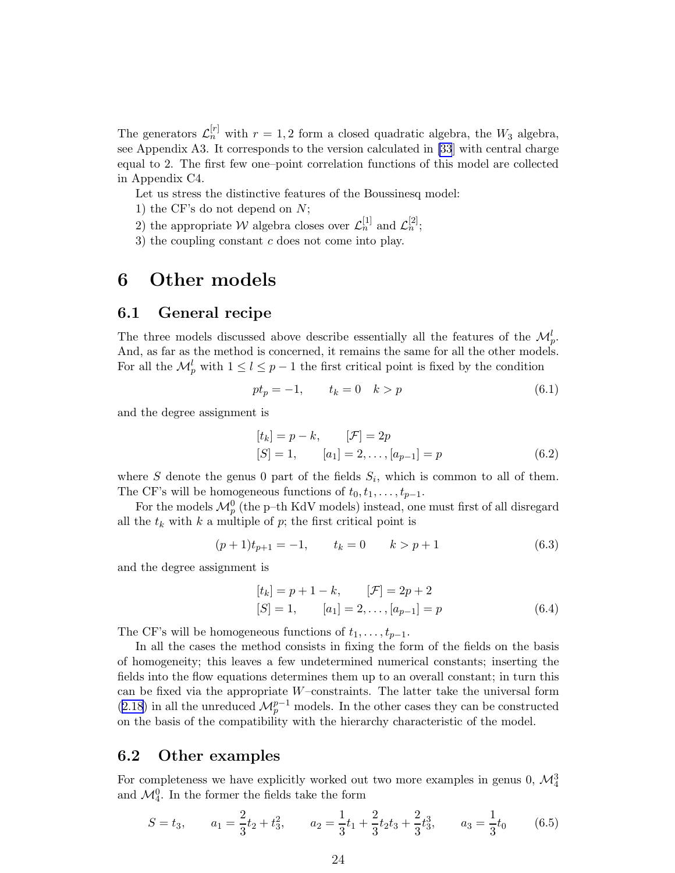The generators  $\mathcal{L}_n^{[r]}$  with  $r = 1, 2$  form a closed quadratic algebra, the  $W_3$  algebra, see Appendix A3. It corresponds to the version calculated in [\[33](#page-37-0)] with central charge equal to 2. The first few one–point correlation functions of this model are collected in Appendix C4.

Let us stress the distinctive features of the Boussinesq model:

- 1) the CF's do not depend on  $N$ ;
- 2) the appropriate W algebra closes over  $\mathcal{L}_n^{[1]}$  and  $\mathcal{L}_n^{[2]}$ ;
- 3) the coupling constant  $c$  does not come into play.

## 6 Other models

#### 6.1 General recipe

The three models discussed above describe essentially all the features of the  $\mathcal{M}_{p}^{l}$ . And, as far as the method is concerned, it remains the same for all the other models. For all the  $\mathcal{M}_{p}^{l}$  with  $1 \leq l \leq p-1$  the first critical point is fixed by the condition

$$
pt_p = -1, \qquad t_k = 0 \quad k > p \tag{6.1}
$$

and the degree assignment is

$$
[t_k] = p - k, \qquad [\mathcal{F}] = 2p
$$
  
[S] = 1, \qquad [a\_1] = 2, ..., [a\_{p-1}] = p \t\t(6.2)

where S denote the genus 0 part of the fields  $S_i$ , which is common to all of them. The CF's will be homogeneous functions of  $t_0, t_1, \ldots, t_{p-1}$ .

For the models  $\mathcal{M}_{p}^{0}$  (the p–th KdV models) instead, one must first of all disregard all the  $t_k$  with k a multiple of p; the first critical point is

$$
(p+1)t_{p+1} = -1, \t t_k = 0 \t k > p+1 \t (6.3)
$$

and the degree assignment is

$$
[t_k] = p + 1 - k, \qquad [\mathcal{F}] = 2p + 2
$$
  

$$
[S] = 1, \qquad [a_1] = 2, \dots, [a_{p-1}] = p
$$
 (6.4)

The CF's will be homogeneous functions of  $t_1, \ldots, t_{p-1}$ .

In all the cases the method consists in fixing the form of the fields on the basis of homogeneity; this leaves a few undetermined numerical constants; inserting the fields into the flow equations determines them up to an overall constant; in turn this can be fixed via the appropriate W–constraints. The latter take the universal form ([2.18\)](#page-7-0) in all the unreduced  $\mathcal{M}_{p}^{p-1}$  models. In the other cases they can be constructed on the basis of the compatibility with the hierarchy characteristic of the model.

#### 6.2 Other examples

For completeness we have explicitly worked out two more examples in genus 0,  $\mathcal{M}^3_4$ and  $\mathcal{M}_{4}^{0}$ . In the former the fields take the form

$$
S = t_3
$$
,  $a_1 = \frac{2}{3}t_2 + t_3^2$ ,  $a_2 = \frac{1}{3}t_1 + \frac{2}{3}t_2t_3 + \frac{2}{3}t_3^3$ ,  $a_3 = \frac{1}{3}t_0$  (6.5)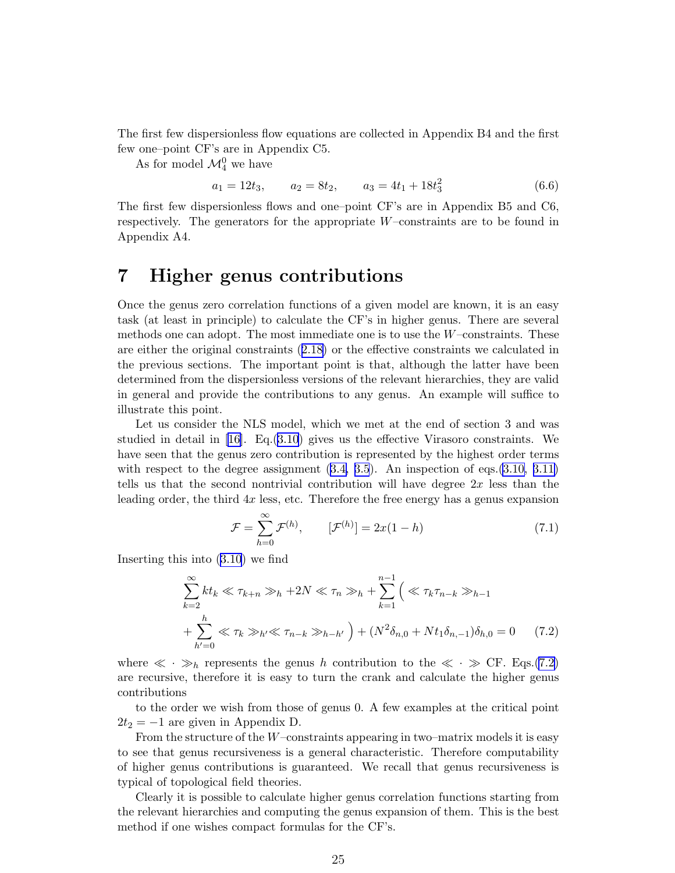The first few dispersionless flow equations are collected in Appendix B4 and the first few one–point CF's are in Appendix C5.

As for model  $\mathcal{M}^0_4$  we have

$$
a_1 = 12t_3, \qquad a_2 = 8t_2, \qquad a_3 = 4t_1 + 18t_3^2 \tag{6.6}
$$

The first few dispersionless flows and one–point CF's are in Appendix B5 and C6, respectively. The generators for the appropriate W–constraints are to be found in Appendix A4.

## 7 Higher genus contributions

Once the genus zero correlation functions of a given model are known, it is an easy task (at least in principle) to calculate the CF's in higher genus. There are several methods one can adopt. The most immediate one is to use the  $W$ –constraints. These are either the original constraints ([2.18\)](#page-7-0) or the effective constraints we calculated in the previous sections. The important point is that, although the latter have been determined from the dispersionless versions of the relevant hierarchies, they are valid in general and provide the contributions to any genus. An example will suffice to illustrate this point.

Let us consider the NLS model, which we met at the end of section 3 and was studied in detail in  $[16]$ . Eq. $(3.10)$  $(3.10)$  $(3.10)$  gives us the effective Virasoro constraints. We have seen that the genus zero contribution is represented by the highest order terms with respect to the degree assignment  $(3.4, 3.5)$  $(3.4, 3.5)$  $(3.4, 3.5)$ . An inspection of eqs. $(3.10, 3.11)$ tells us that the second nontrivial contribution will have degree  $2x$  less than the leading order, the third 4x less, etc. Therefore the free energy has a genus expansion

$$
\mathcal{F} = \sum_{h=0}^{\infty} \mathcal{F}^{(h)}, \qquad [\mathcal{F}^{(h)}] = 2x(1-h) \tag{7.1}
$$

Inserting this into [\(3.10](#page-10-0)) we find

$$
\sum_{k=2}^{\infty} kt_k \ll \tau_{k+n} \gg_h + 2N \ll \tau_n \gg_h + \sum_{k=1}^{n-1} \left( \ll \tau_k \tau_{n-k} \gg_{h-1} + \sum_{h'=0}^h \ll \tau_k \gg_{h'} \ll \tau_{n-k} \gg_{h-h'} \right) + (N^2 \delta_{n,0} + Nt_1 \delta_{n,-1}) \delta_{h,0} = 0 \quad (7.2)
$$

where  $\ll \cdot \gg_h$  represents the genus h contribution to the  $\ll \cdot \gg \text{CF. Eqs.}(7.2)$ are recursive, therefore it is easy to turn the crank and calculate the higher genus contributions

to the order we wish from those of genus 0. A few examples at the critical point  $2t_2 = -1$  are given in Appendix D.

From the structure of the  $W$ -constraints appearing in two-matrix models it is easy to see that genus recursiveness is a general characteristic. Therefore computability of higher genus contributions is guaranteed. We recall that genus recursiveness is typical of topological field theories.

Clearly it is possible to calculate higher genus correlation functions starting from the relevant hierarchies and computing the genus expansion of them. This is the best method if one wishes compact formulas for the CF's.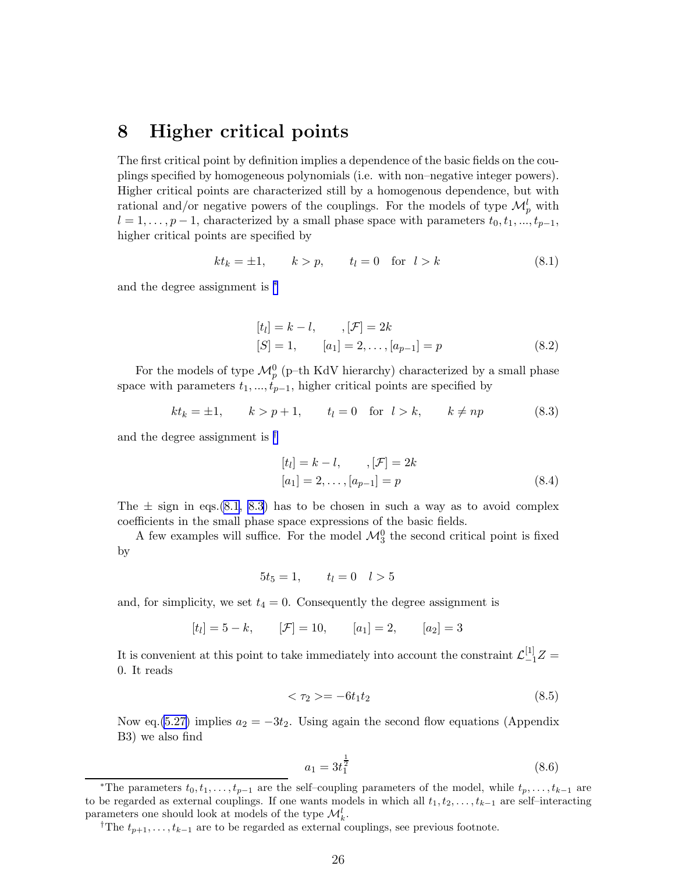### 8 Higher critical points

The first critical point by definition implies a dependence of the basic fields on the couplings specified by homogeneous polynomials (i.e. with non–negative integer powers). Higher critical points are characterized still by a homogenous dependence, but with rational and/or negative powers of the couplings. For the models of type  $\mathcal{M}_{p}^{l}$  with  $l = 1, \ldots, p-1$ , characterized by a small phase space with parameters  $t_0, t_1, \ldots, t_{p-1}$ , higher critical points are specified by

$$
kt_k = \pm 1, \qquad k > p, \qquad t_l = 0 \quad \text{for} \quad l > k \tag{8.1}
$$

and the degree assignment is <sup>∗</sup>

$$
[tl] = k - l, \t, [\mathcal{F}] = 2k
$$
  
[S] = 1,  $[a_1] = 2, ..., [a_{p-1}] = p$  (8.2)

For the models of type  $\mathcal{M}_{p}^{0}$  (p-th KdV hierarchy) characterized by a small phase space with parameters  $t_1, ..., t_{p-1}$ , higher critical points are specified by

$$
kt_k = \pm 1, \qquad k > p+1, \qquad t_l = 0 \quad \text{for} \quad l > k, \qquad k \neq np \tag{8.3}
$$

and the degree assignment is †

$$
[tl] = k - l, \t, [\mathcal{F}] = 2k
$$
  

$$
[a1] = 2, ..., [ap-1] = p
$$
 (8.4)

The  $\pm$  sign in eqs.(8.1, 8.3) has to be chosen in such a way as to avoid complex coefficients in the small phase space expressions of the basic fields.

A few examples will suffice. For the model  $\mathcal{M}_3^0$  the second critical point is fixed by

$$
5t_5 = 1, \qquad t_l = 0 \quad l > 5
$$

and, for simplicity, we set  $t_4 = 0$ . Consequently the degree assignment is

$$
[t_l] = 5 - k,
$$
  $[\mathcal{F}] = 10,$   $[a_1] = 2,$   $[a_2] = 3$ 

It is convenient at this point to take immediately into account the constraint  $\mathcal{L}_{-1}^{[1]}Z =$ 0. It reads

$$
\langle \tau_2 \rangle = -6t_1t_2 \tag{8.5}
$$

Now eq.[\(5.27\)](#page-21-0) implies  $a_2 = -3t_2$ . Using again the second flow equations (Appendix B3) we also find

$$
a_1 = 3t_1^{\frac{1}{2}} \tag{8.6}
$$

<sup>\*</sup>The parameters  $t_0, t_1, \ldots, t_{p-1}$  are the self–coupling parameters of the model, while  $t_p, \ldots, t_{k-1}$  are to be regarded as external couplings. If one wants models in which all  $t_1, t_2, \ldots, t_{k-1}$  are self–interacting parameters one should look at models of the type  $\mathcal{M}_k^l$ .

<sup>&</sup>lt;sup>†</sup>The  $t_{p+1}, \ldots, t_{k-1}$  are to be regarded as external couplings, see previous footnote.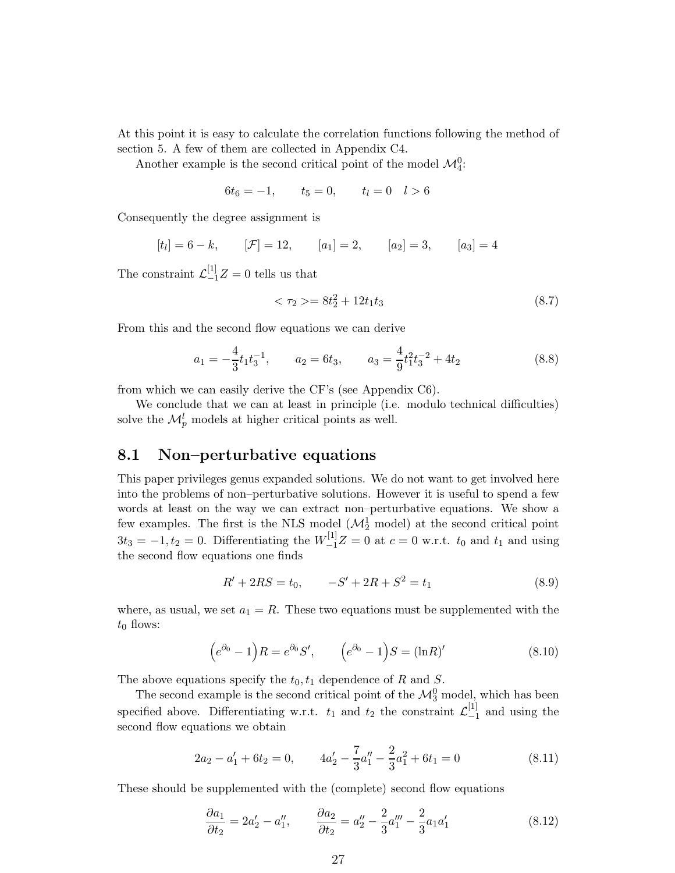<span id="page-26-0"></span>At this point it is easy to calculate the correlation functions following the method of section 5. A few of them are collected in Appendix C4.

Another example is the second critical point of the model  $\mathcal{M}_4^0$ :

$$
6t_6 = -1, \qquad t_5 = 0, \qquad t_l = 0 \quad l > 6
$$

Consequently the degree assignment is

$$
[t_l] = 6 - k,
$$
  $[\mathcal{F}] = 12,$   $[a_1] = 2,$   $[a_2] = 3,$   $[a_3] = 4$ 

The constraint  $\mathcal{L}_{-1}^{[1]}Z=0$  tells us that

$$
\langle \tau_2 \rangle = 8t_2^2 + 12t_1t_3 \tag{8.7}
$$

From this and the second flow equations we can derive

$$
a_1 = -\frac{4}{3}t_1t_3^{-1}, \qquad a_2 = 6t_3, \qquad a_3 = \frac{4}{9}t_1^2t_3^{-2} + 4t_2 \tag{8.8}
$$

from which we can easily derive the CF's (see Appendix C6).

We conclude that we can at least in principle (i.e. modulo technical difficulties) solve the  $\mathcal{M}_{p}^{l}$  models at higher critical points as well.

#### 8.1 Non–perturbative equations

This paper privileges genus expanded solutions. We do not want to get involved here into the problems of non–perturbative solutions. However it is useful to spend a few words at least on the way we can extract non–perturbative equations. We show a few examples. The first is the NLS model  $(\mathcal{M}_2^1 \text{ model})$  at the second critical point  $3t_3 = -1, t_2 = 0$ . Differentiating the  $W_{-1}^{[1]}Z = 0$  at  $c = 0$  w.r.t.  $t_0$  and  $t_1$  and using the second flow equations one finds

$$
R' + 2RS = t_0, \qquad -S' + 2R + S^2 = t_1 \tag{8.9}
$$

where, as usual, we set  $a_1 = R$ . These two equations must be supplemented with the  $t_0$  flows:

$$
(e^{\partial_0} - 1)R = e^{\partial_0}S', \qquad (e^{\partial_0} - 1)S = (\ln R)'
$$
 (8.10)

The above equations specify the  $t_0, t_1$  dependence of R and S.

The second example is the second critical point of the  $\mathcal{M}_3^0$  model, which has been specified above. Differentiating w.r.t.  $t_1$  and  $t_2$  the constraint  $\mathcal{L}_{-1}^{[1]}$  $_{-1}^{11}$  and using the second flow equations we obtain

$$
2a_2 - a_1' + 6t_2 = 0, \qquad 4a_2' - \frac{7}{3}a_1'' - \frac{2}{3}a_1^2 + 6t_1 = 0 \tag{8.11}
$$

These should be supplemented with the (complete) second flow equations

$$
\frac{\partial a_1}{\partial t_2} = 2a'_2 - a''_1, \qquad \frac{\partial a_2}{\partial t_2} = a''_2 - \frac{2}{3}a''_1 - \frac{2}{3}a_1a'_1 \tag{8.12}
$$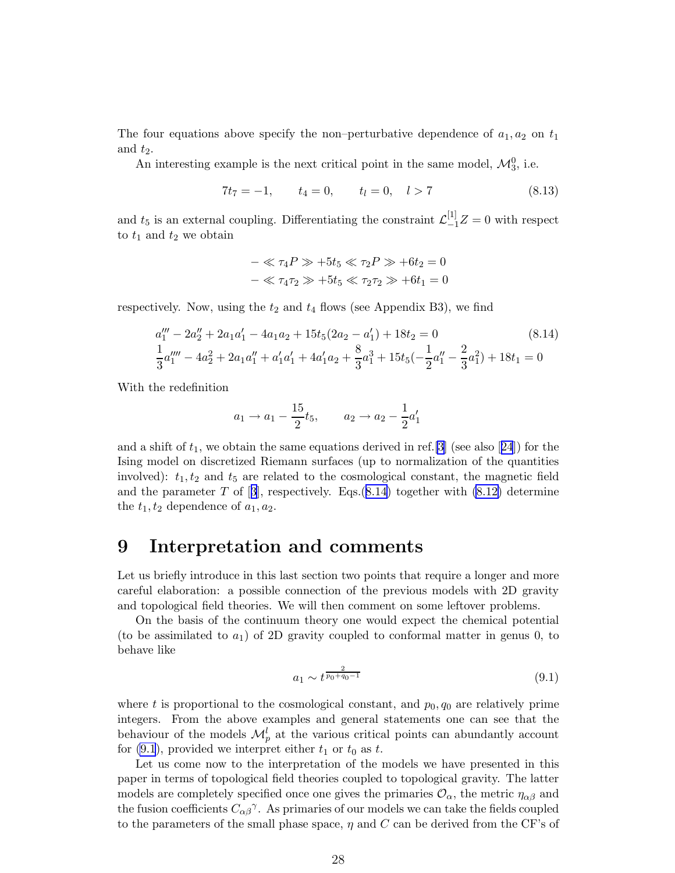The four equations above specify the non–perturbative dependence of  $a_1, a_2$  on  $t_1$ and  $t_2$ .

An interesting example is the next critical point in the same model,  $\mathcal{M}_3^0$ , i.e.

$$
7t_7 = -1, \t t_4 = 0, \t t_l = 0, \t l > 7 \t (8.13)
$$

and  $t_5$  is an external coupling. Differentiating the constraint  $\mathcal{L}_{-1}^{[1]}Z=0$  with respect to  $t_1$  and  $t_2$  we obtain

$$
-\ll \tau_4 P \gg +5t_5 \ll \tau_2 P \gg +6t_2 = 0
$$
  

$$
-\ll \tau_4 \tau_2 \gg +5t_5 \ll \tau_2 \tau_2 \gg +6t_1 = 0
$$

respectively. Now, using the  $t_2$  and  $t_4$  flows (see Appendix B3), we find

$$
a_1''' - 2a_2'' + 2a_1a_1' - 4a_1a_2 + 15t_5(2a_2 - a_1') + 18t_2 = 0
$$
\n
$$
\frac{1}{3}a_1''' - 4a_2^2 + 2a_1a_1'' + a_1'a_1' + 4a_1'a_2 + \frac{8}{3}a_1^3 + 15t_5(-\frac{1}{2}a_1'' - \frac{2}{3}a_1^2) + 18t_1 = 0
$$
\n
$$
(8.14)
$$

With the redefinition

$$
a_1 \rightarrow a_1 - \frac{15}{2}t_5
$$
,  $a_2 \rightarrow a_2 - \frac{1}{2}a'_1$ 

anda shift of  $t_1$ , we obtain the same equations derived in ref. [\[3\]](#page-36-0) (see also [[24](#page-37-0)]) for the Ising model on discretized Riemann surfaces (up to normalization of the quantities involved):  $t_1, t_2$  and  $t_5$  are related to the cosmological constant, the magnetic field andthe parameter T of [[3](#page-36-0)], respectively. Eqs.  $(8.14)$  together with  $(8.12)$  determine the  $t_1, t_2$  dependence of  $a_1, a_2$ .

### 9 Interpretation and comments

Let us briefly introduce in this last section two points that require a longer and more careful elaboration: a possible connection of the previous models with 2D gravity and topological field theories. We will then comment on some leftover problems.

On the basis of the continuum theory one would expect the chemical potential (to be assimilated to  $a_1$ ) of 2D gravity coupled to conformal matter in genus 0, to behave like

$$
a_1 \sim t^{\frac{2}{p_0 + q_0 - 1}} \tag{9.1}
$$

where t is proportional to the cosmological constant, and  $p_0, q_0$  are relatively prime integers. From the above examples and general statements one can see that the behaviour of the models  $\mathcal{M}_{p}^{l}$  at the various critical points can abundantly account for  $(9.1)$ , provided we interpret either  $t_1$  or  $t_0$  as t.

Let us come now to the interpretation of the models we have presented in this paper in terms of topological field theories coupled to topological gravity. The latter models are completely specified once one gives the primaries  $\mathcal{O}_{\alpha}$ , the metric  $\eta_{\alpha\beta}$  and the fusion coefficients  $C_{\alpha\beta}^{\gamma}$ . As primaries of our models we can take the fields coupled to the parameters of the small phase space,  $\eta$  and C can be derived from the CF's of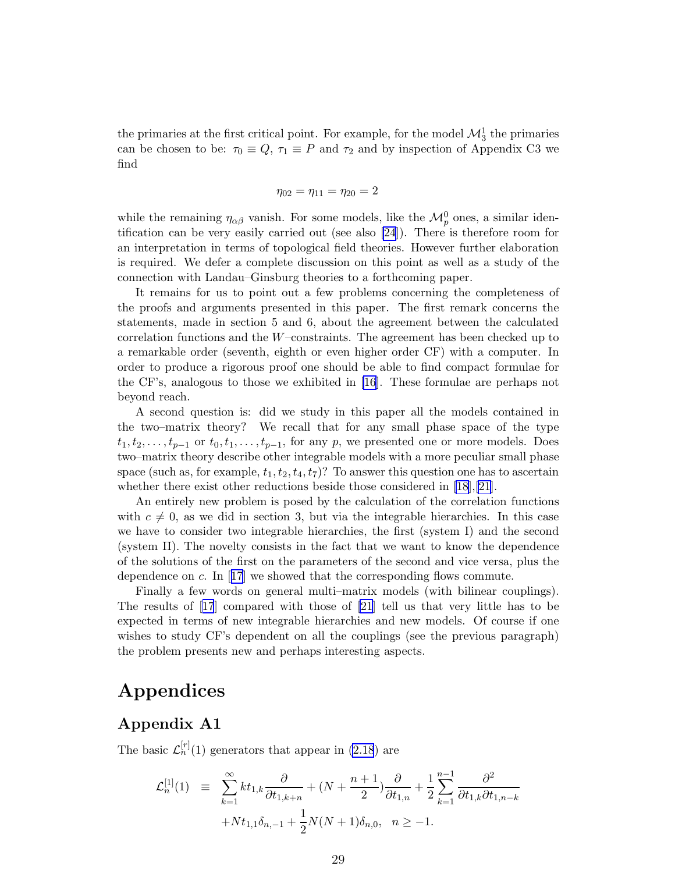the primaries at the first critical point. For example, for the model  $\mathcal{M}_3^1$  the primaries can be chosen to be:  $\tau_0 \equiv Q$ ,  $\tau_1 \equiv P$  and  $\tau_2$  and by inspection of Appendix C3 we find

$$
\eta_{02} = \eta_{11} = \eta_{20} = 2
$$

while the remaining  $\eta_{\alpha\beta}$  vanish. For some models, like the  $\mathcal{M}_{p}^{0}$  ones, a similar identification can be very easily carried out (see also [\[24](#page-37-0)]). There is therefore room for an interpretation in terms of topological field theories. However further elaboration is required. We defer a complete discussion on this point as well as a study of the connection with Landau–Ginsburg theories to a forthcoming paper.

It remains for us to point out a few problems concerning the completeness of the proofs and arguments presented in this paper. The first remark concerns the statements, made in section 5 and 6, about the agreement between the calculated correlation functions and the  $W$ –constraints. The agreement has been checked up to a remarkable order (seventh, eighth or even higher order CF) with a computer. In order to produce a rigorous proof one should be able to find compact formulae for the CF's, analogous to those we exhibited in [\[16](#page-37-0)]. These formulae are perhaps not beyond reach.

A second question is: did we study in this paper all the models contained in the two–matrix theory? We recall that for any small phase space of the type  $t_1, t_2, \ldots, t_{p-1}$  or  $t_0, t_1, \ldots, t_{p-1}$ , for any p, we presented one or more models. Does two–matrix theory describe other integrable models with a more peculiar small phase space (such as, for example,  $t_1, t_2, t_4, t_7$ )? To answer this question one has to ascertain whether there exist other reductions beside those considered in [\[18](#page-37-0)],[\[21](#page-37-0)].

An entirely new problem is posed by the calculation of the correlation functions with  $c \neq 0$ , as we did in section 3, but via the integrable hierarchies. In this case we have to consider two integrable hierarchies, the first (system I) and the second (system II). The novelty consists in the fact that we want to know the dependence of the solutions of the first on the parameters of the second and vice versa, plus the dependenceon  $c$ . In [[17](#page-37-0)] we showed that the corresponding flows commute.

Finally a few words on general multi–matrix models (with bilinear couplings). The results of[[17](#page-37-0)] compared with those of [\[21](#page-37-0)] tell us that very little has to be expected in terms of new integrable hierarchies and new models. Of course if one wishes to study CF's dependent on all the couplings (see the previous paragraph) the problem presents new and perhaps interesting aspects.

## Appendices

#### Appendix A1

The basic  $\mathcal{L}_n^{[r]}(1)$  generators that appear in [\(2.18](#page-7-0)) are

$$
\mathcal{L}_n^{[1]}(1) \equiv \sum_{k=1}^{\infty} k t_{1,k} \frac{\partial}{\partial t_{1,k+n}} + (N + \frac{n+1}{2}) \frac{\partial}{\partial t_{1,n}} + \frac{1}{2} \sum_{k=1}^{n-1} \frac{\partial^2}{\partial t_{1,k} \partial t_{1,n-k}}
$$

$$
+ N t_{1,1} \delta_{n,-1} + \frac{1}{2} N (N+1) \delta_{n,0}, \quad n \ge -1.
$$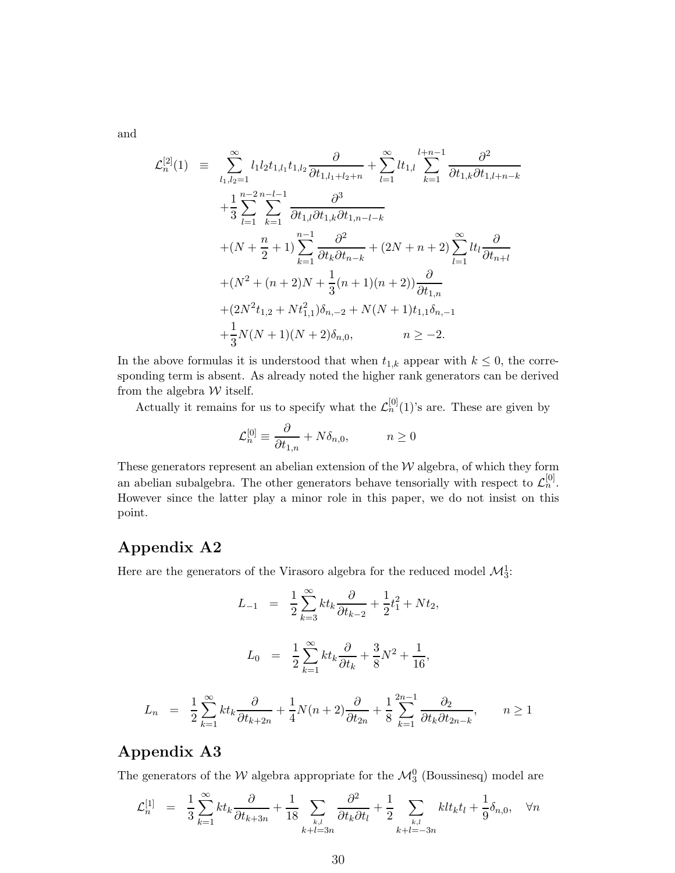and

$$
\mathcal{L}_{n}^{[2]}(1) \equiv \sum_{l_{1},l_{2}=1}^{\infty} l_{1}l_{2}t_{1,l_{1}}t_{1,l_{2}} \frac{\partial}{\partial t_{1,l_{1}+l_{2}+n}} + \sum_{l=1}^{\infty} lt_{1,l} \sum_{k=1}^{l+n-1} \frac{\partial^{2}}{\partial t_{1,k} \partial t_{1,l+n-k}} \n+ \frac{1}{3} \sum_{l=1}^{n-2} \sum_{k=1}^{n-l-1} \frac{\partial^{3}}{\partial t_{1,l} \partial t_{1,k} \partial t_{1,n-l-k}} \n+ (N + \frac{n}{2} + 1) \sum_{k=1}^{n-1} \frac{\partial^{2}}{\partial t_{k} \partial t_{n-k}} + (2N + n + 2) \sum_{l=1}^{\infty} lt_{l} \frac{\partial}{\partial t_{n+l}} \n+ (N^{2} + (n + 2)N + \frac{1}{3}(n + 1)(n + 2)) \frac{\partial}{\partial t_{1,n}} \n+ (2N^{2}t_{1,2} + Nt_{1,1}^{2})\delta_{n,-2} + N(N + 1)t_{1,1}\delta_{n,-1} \n+ \frac{1}{3}N(N + 1)(N + 2)\delta_{n,0}, \qquad n \ge -2.
$$

In the above formulas it is understood that when  $t_{1,k}$  appear with  $k \leq 0$ , the corresponding term is absent. As already noted the higher rank generators can be derived from the algebra  ${\mathcal W}$  itself.

Actually it remains for us to specify what the  $\mathcal{L}_n^{[0]}(1)$ 's are. These are given by

$$
\mathcal{L}_n^{[0]} \equiv \frac{\partial}{\partial t_{1,n}} + N \delta_{n,0}, \qquad n \ge 0
$$

These generators represent an abelian extension of the  $W$  algebra, of which they form an abelian subalgebra. The other generators behave tensorially with respect to  $\mathcal{L}_n^{[0]}$ . However since the latter play a minor role in this paper, we do not insist on this point.

### Appendix A2

Here are the generators of the Virasoro algebra for the reduced model  $\mathcal{M}_3^1$ :

$$
L_{-1} = \frac{1}{2} \sum_{k=3}^{\infty} k t_k \frac{\partial}{\partial t_{k-2}} + \frac{1}{2} t_1^2 + N t_2,
$$
  

$$
L_0 = \frac{1}{2} \sum_{k=1}^{\infty} k t_k \frac{\partial}{\partial t_k} + \frac{3}{8} N^2 + \frac{1}{16},
$$
  

$$
\frac{1}{2} \sum_{k=1}^{\infty} k t_k \frac{\partial}{\partial t_{k+2n}} + \frac{1}{4} N(n+2) \frac{\partial}{\partial t_{2n}} + \frac{1}{8} \sum_{k=1}^{2n-1} \frac{\partial}{\partial t_k \partial t_{2n-k}}, \qquad n \ge 1
$$

#### Appendix A3

 $L_n =$ 

The generators of the  $\mathcal{W}$  algebra appropriate for the  $\mathcal{M}_3^0$  (Boussinesq) model are

$$
\mathcal{L}_{n}^{[1]} = \frac{1}{3} \sum_{k=1}^{\infty} k t_k \frac{\partial}{\partial t_{k+3n}} + \frac{1}{18} \sum_{\substack{k,l \\ k+l=3n}} \frac{\partial^2}{\partial t_k \partial t_l} + \frac{1}{2} \sum_{\substack{k,l \\ k+l=-3n}} k l t_k t_l + \frac{1}{9} \delta_{n,0}, \quad \forall n
$$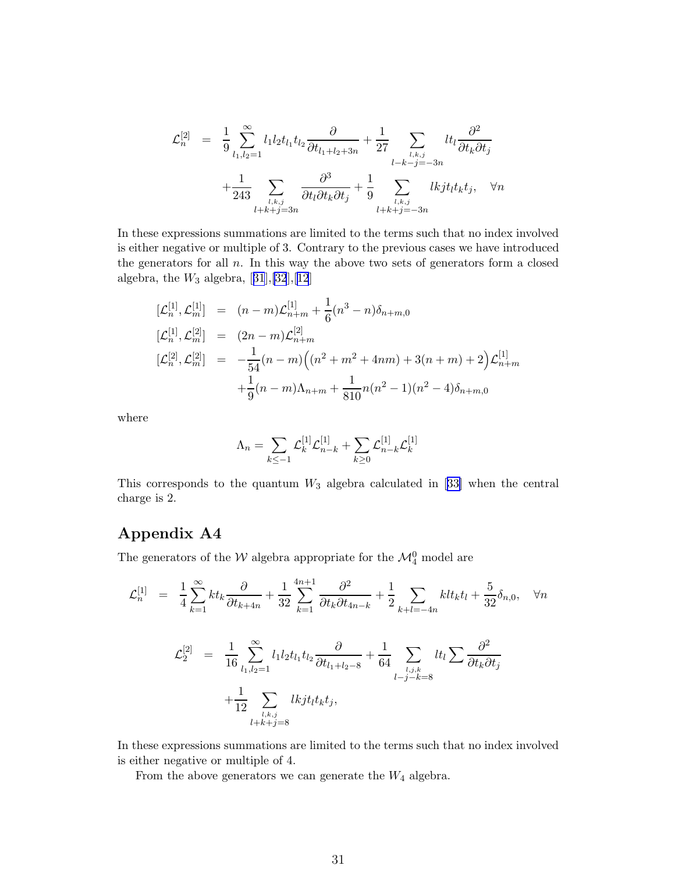$$
\mathcal{L}_{n}^{[2]} = \frac{1}{9} \sum_{l_1,l_2=1}^{\infty} l_1 l_2 t_{l_1} t_{l_2} \frac{\partial}{\partial t_{l_1+l_2+3n}} + \frac{1}{27} \sum_{\substack{l,k,j \ l-k-j=-3n}} l t_l \frac{\partial^2}{\partial t_k \partial t_j} \n+ \frac{1}{243} \sum_{\substack{l,k,j \ l+k+j=3n}} \frac{\partial^3}{\partial t_l \partial t_k \partial t_j} + \frac{1}{9} \sum_{\substack{l,k,j \ l+k+j=-3n}} l k j t_l t_k t_j, \quad \forall n
$$

In these expressions summations are limited to the terms such that no index involved is either negative or multiple of 3. Contrary to the previous cases we have introduced the generators for all  $n$ . In this way the above two sets of generators form a closed algebra,the  $W_3$  algebra,  $\left[ 31],[32],[12]\right]$  $\left[ 31],[32],[12]\right]$  $\left[ 31],[32],[12]\right]$  $\left[ 31],[32],[12]\right]$  $\left[ 31],[32],[12]\right]$  $\left[ 31],[32],[12]\right]$  $\left[ 31],[32],[12]\right]$ 

$$
\begin{array}{rcl}\n[\mathcal{L}_n^{[1]}, \mathcal{L}_m^{[1]}] & = & (n-m)\mathcal{L}_{n+m}^{[1]} + \frac{1}{6}(n^3 - n)\delta_{n+m,0} \\
[\mathcal{L}_n^{[1]}, \mathcal{L}_m^{[2]}] & = & (2n-m)\mathcal{L}_{n+m}^{[2]} \\
[\mathcal{L}_n^{[2]}, \mathcal{L}_m^{[2]}] & = & -\frac{1}{54}(n-m)\left((n^2 + m^2 + 4nm) + 3(n+m) + 2\right)\mathcal{L}_{n+m}^{[1]} \\
& & + \frac{1}{9}(n-m)\Lambda_{n+m} + \frac{1}{810}n(n^2 - 1)(n^2 - 4)\delta_{n+m,0}\n\end{array}
$$

where

$$
\Lambda_n = \sum_{k \leq -1} \mathcal{L}_k^{[1]} \mathcal{L}_{n-k}^{[1]} + \sum_{k \geq 0} \mathcal{L}_{n-k}^{[1]} \mathcal{L}_k^{[1]}
$$

Thiscorresponds to the quantum  $W_3$  algebra calculated in [[33\]](#page-37-0) when the central charge is 2.

#### Appendix A4

The generators of the  $\mathcal{W}$  algebra appropriate for the  $\mathcal{M}^0_4$  model are

$$
\mathcal{L}_{n}^{[1]} = \frac{1}{4} \sum_{k=1}^{\infty} k t_{k} \frac{\partial}{\partial t_{k+4n}} + \frac{1}{32} \sum_{k=1}^{4n+1} \frac{\partial^{2}}{\partial t_{k} \partial t_{4n-k}} + \frac{1}{2} \sum_{k+l=-4n} k l t_{k} t_{l} + \frac{5}{32} \delta_{n,0}, \quad \forall n
$$

$$
\mathcal{L}_{2}^{[2]} = \frac{1}{16} \sum_{l_{1},l_{2}=1}^{\infty} l_{1} l_{2} t_{l_{1}} t_{l_{2}} \frac{\partial}{\partial t_{l_{1}+l_{2}-8}} + \frac{1}{64} \sum_{l_{1},l_{2},k \atop l_{-j}-k=8} l t_{l} \sum \frac{\partial^{2}}{\partial t_{k} \partial t_{j}}
$$

$$
+ \frac{1}{12} \sum_{l_{1},l_{2}=1} k t_{l} t_{l} t_{k} t_{j},
$$

In these expressions summations are limited to the terms such that no index involved is either negative or multiple of 4.

From the above generators we can generate the  $W_4$  algebra.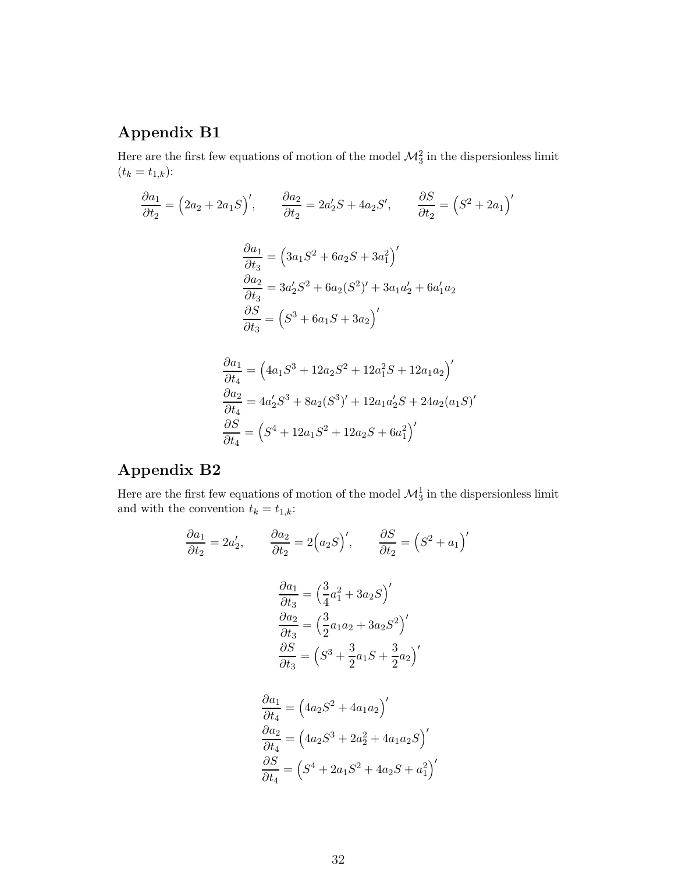## Appendix B1

Here are the first few equations of motion of the model  $\mathcal{M}_3^2$  in the dispersionless limit  $(t_k = t_{1,k})$ :

$$
\frac{\partial a_1}{\partial t_2} = (2a_2 + 2a_1S)', \qquad \frac{\partial a_2}{\partial t_2} = 2a'_2S + 4a_2S', \qquad \frac{\partial S}{\partial t_2} = (S^2 + 2a_1)'
$$

$$
\frac{\partial a_1}{\partial t_3} = (3a_1S^2 + 6a_2S + 3a_1^2)'
$$

$$
\frac{\partial a_2}{\partial t_3} = 3a'_2S^2 + 6a_2(S^2)' + 3a_1a'_2 + 6a'_1a_2
$$

$$
\frac{\partial S}{\partial t_3} = (S^3 + 6a_1S + 3a_2)'
$$

$$
\frac{\partial a_1}{\partial t_4} = (4a_1S^3 + 12a_2S^2 + 12a_1S^2 + 12a_1a_2)'
$$
  
\n
$$
\frac{\partial a_2}{\partial t_4} = 4a'_2S^3 + 8a_2(S^3)' + 12a_1a'_2S + 24a_2(a_1S)'
$$
  
\n
$$
\frac{\partial S}{\partial t_4} = (S^4 + 12a_1S^2 + 12a_2S + 6a_1^2)'
$$

## Appendix B2

Here are the first few equations of motion of the model  $\mathcal{M}_3^1$  in the dispersionless limit and with the convention  $t_k = t_{1,k}$ :

$$
\frac{\partial a_1}{\partial t_2} = 2a'_2, \qquad \frac{\partial a_2}{\partial t_2} = 2\left(a_2S\right)', \qquad \frac{\partial S}{\partial t_2} = \left(S^2 + a_1\right)'
$$

$$
\frac{\partial a_1}{\partial t_3} = \left(\frac{3}{4}a_1^2 + 3a_2S\right)'
$$

$$
\frac{\partial a_2}{\partial t_3} = \left(\frac{3}{2}a_1a_2 + 3a_2S^2\right)'
$$

$$
\frac{\partial S}{\partial t_3} = \left(S^3 + \frac{3}{2}a_1S + \frac{3}{2}a_2\right)'
$$

$$
\frac{\partial a_1}{\partial t_4} = \left(4a_2S^2 + 4a_1a_2\right)'
$$

$$
\frac{\partial a_2}{\partial t_4} = \left(4a_2S^3 + 2a_2^2 + 4a_1a_2S\right)'
$$

$$
\frac{\partial a_2}{\partial t_4} = (4a_2S^3 + 2a_2^2 + 4a_1a_2S)'
$$

$$
\frac{\partial S}{\partial t_4} = (S^4 + 2a_1S^2 + 4a_2S + a_1^2)'
$$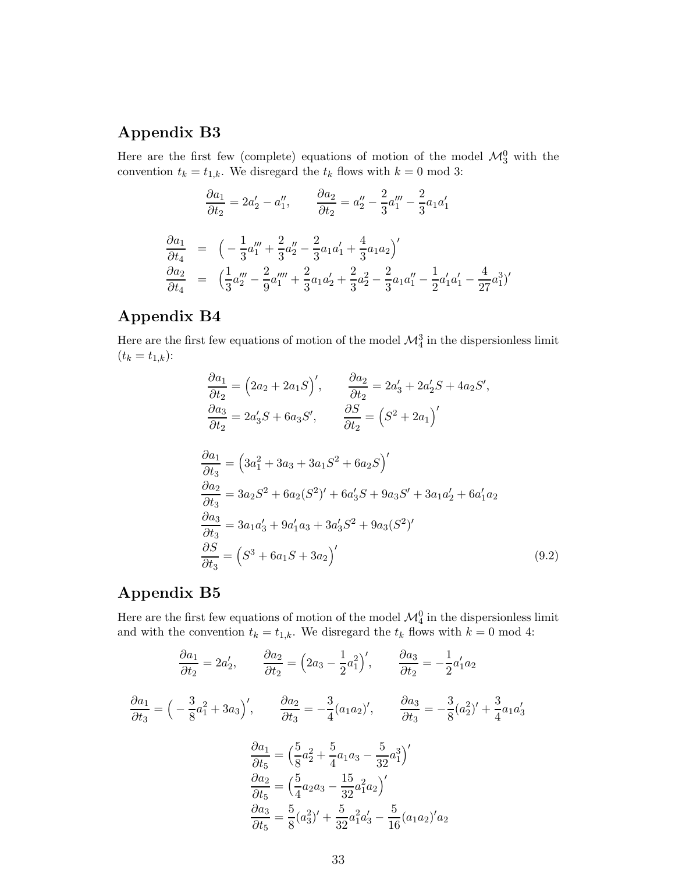#### Appendix B3

Here are the first few (complete) equations of motion of the model  $\mathcal{M}_3^0$  with the convention  $t_k = t_{1,k}$ . We disregard the  $t_k$  flows with  $k = 0 \text{ mod } 3$ :

$$
\frac{\partial a_1}{\partial t_2} = 2a'_2 - a''_1, \qquad \frac{\partial a_2}{\partial t_2} = a''_2 - \frac{2}{3}a'''_1 - \frac{2}{3}a_1a'_1
$$

$$
\frac{\partial a_1}{\partial t_4} = \left(-\frac{1}{3}a'''_1 + \frac{2}{3}a''_2 - \frac{2}{3}a_1a'_1 + \frac{4}{3}a_1a_2\right)'
$$

$$
\frac{\partial a_2}{\partial t_4} = \left(\frac{1}{3}a'''_2 - \frac{2}{9}a'''_1 + \frac{2}{3}a_1a'_2 + \frac{2}{3}a_2^2 - \frac{2}{3}a_1a''_1 - \frac{1}{2}a'_1a'_1 - \frac{4}{27}a_1^3\right)'
$$

#### Appendix B4

Here are the first few equations of motion of the model  $\mathcal{M}^3_4$  in the dispersionless limit  $(t_k = t_{1,k})$ :

$$
\frac{\partial a_1}{\partial t_2} = (2a_2 + 2a_1S)', \qquad \frac{\partial a_2}{\partial t_2} = 2a'_3 + 2a'_2S + 4a_2S', \n\frac{\partial a_3}{\partial t_2} = 2a'_3S + 6a_3S', \qquad \frac{\partial S}{\partial t_2} = (S^2 + 2a_1)'
$$
\n
$$
\frac{\partial a_1}{\partial t_3} = (3a_1^2 + 3a_3 + 3a_1S^2 + 6a_2S)'
$$
\n
$$
\frac{\partial a_2}{\partial t_3} = 3a_2S^2 + 6a_2(S^2)' + 6a'_3S + 9a_3S' + 3a_1a'_2 + 6a'_1a_2
$$
\n
$$
\frac{\partial a_3}{\partial t_3} = 3a_1a'_3 + 9a'_1a_3 + 3a'_3S^2 + 9a_3(S^2)'
$$
\n
$$
\frac{\partial S}{\partial t_3} = (S^3 + 6a_1S + 3a_2)'
$$
\n(9.2)

#### Appendix B5

Here are the first few equations of motion of the model  $\mathcal{M}^0_4$  in the dispersionless limit and with the convention  $t_k = t_{1,k}$ . We disregard the  $t_k$  flows with  $k = 0 \mod 4$ :

$$
\frac{\partial a_1}{\partial t_2} = 2a'_2, \qquad \frac{\partial a_2}{\partial t_2} = \left(2a_3 - \frac{1}{2}a_1^2\right)', \qquad \frac{\partial a_3}{\partial t_2} = -\frac{1}{2}a'_1a_2
$$
\n
$$
\frac{\partial a_1}{\partial t_3} = \left(-\frac{3}{8}a_1^2 + 3a_3\right)', \qquad \frac{\partial a_2}{\partial t_3} = -\frac{3}{4}(a_1a_2)', \qquad \frac{\partial a_3}{\partial t_3} = -\frac{3}{8}(a_2^2)' + \frac{3}{4}a_1a'_3
$$
\n
$$
\frac{\partial a_1}{\partial t_5} = \left(\frac{5}{8}a_2^2 + \frac{5}{4}a_1a_3 - \frac{5}{32}a_1^3\right)'
$$
\n
$$
\frac{\partial a_2}{\partial t_5} = \left(\frac{5}{4}a_2a_3 - \frac{15}{32}a_1^2a_2\right)'
$$
\n
$$
\frac{\partial a_3}{\partial t_5} = \frac{5}{8}(a_3^2)' + \frac{5}{32}a_1^2a'_3 - \frac{5}{16}(a_1a_2)'a_2
$$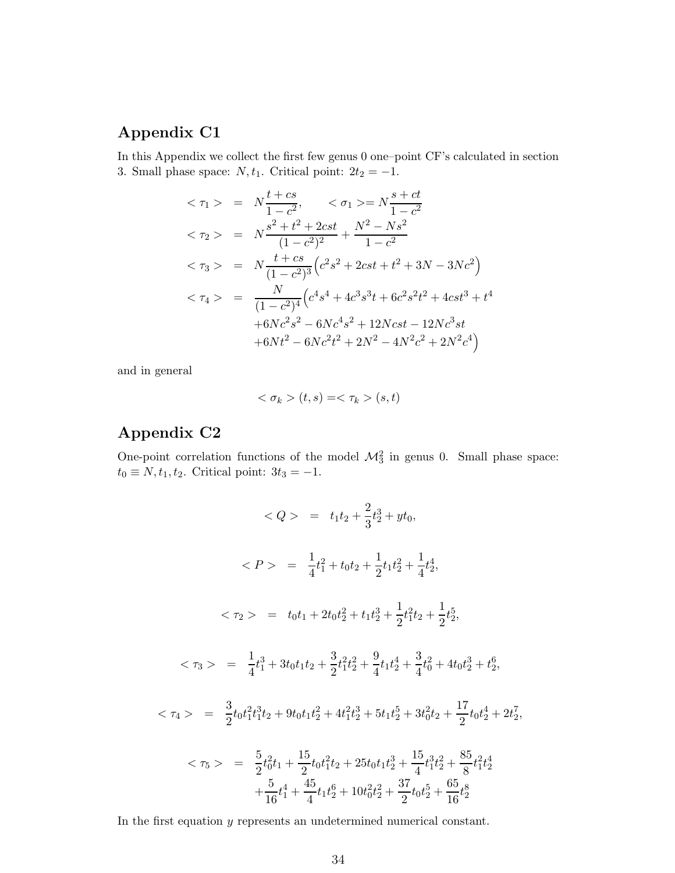#### Appendix C1

In this Appendix we collect the first few genus 0 one–point CF's calculated in section 3. Small phase space:  $N, t_1$ . Critical point:  $2t_2 = -1$ .

$$
\langle \tau_1 \rangle = N \frac{t + cs}{1 - c^2}, \quad \langle \sigma_1 \rangle = N \frac{s + ct}{1 - c^2}
$$
\n
$$
\langle \tau_2 \rangle = N \frac{s^2 + t^2 + 2cst}{(1 - c^2)^2} + \frac{N^2 - Ns^2}{1 - c^2}
$$
\n
$$
\langle \tau_3 \rangle = N \frac{t + cs}{(1 - c^2)^3} \left( c^2 s^2 + 2cst + t^2 + 3N - 3Nc^2 \right)
$$
\n
$$
\langle \tau_4 \rangle = \frac{N}{(1 - c^2)^4} \left( c^4 s^4 + 4c^3 s^3 t + 6c^2 s^2 t^2 + 4cst^3 + t^4 + 6Nc^2 s^2 - 6Nc^4 s^2 + 12Ncst - 12Nc^3 st + 6Nt^2 - 6Nc^2 t^2 + 2N^2 - 4N^2c^2 + 2N^2c^4 \right)
$$

and in general

$$
\langle \sigma_k \rangle (t, s) = \langle \tau_k \rangle (s, t)
$$

## Appendix C2

One-point correlation functions of the model  $\mathcal{M}_3^2$  in genus 0. Small phase space:  $t_0 \equiv N, t_1, t_2$ . Critical point:  $3t_3 = -1$ .

$$
\langle Q \rangle = t_1 t_2 + \frac{2}{3} t_2^3 + y t_0,
$$
\n
$$
\langle P \rangle = \frac{1}{4} t_1^2 + t_0 t_2 + \frac{1}{2} t_1 t_2^2 + \frac{1}{4} t_2^4,
$$
\n
$$
\langle \tau_2 \rangle = t_0 t_1 + 2 t_0 t_2^2 + t_1 t_2^3 + \frac{1}{2} t_1^2 t_2 + \frac{1}{2} t_2^5,
$$
\n
$$
\langle \tau_3 \rangle = \frac{1}{4} t_1^3 + 3 t_0 t_1 t_2 + \frac{3}{2} t_1^2 t_2^2 + \frac{9}{4} t_1 t_2^4 + \frac{3}{4} t_0^2 + 4 t_0 t_2^3 + t_2^6,
$$
\n
$$
\langle \tau_4 \rangle = \frac{3}{2} t_0 t_1^2 t_1^3 t_2 + 9 t_0 t_1 t_2^2 + 4 t_1^2 t_2^3 + 5 t_1 t_2^5 + 3 t_0^2 t_2 + \frac{17}{2} t_0 t_2^4 + 2 t_2^7,
$$
\n
$$
\langle \tau_5 \rangle = \frac{5}{2} t_0^2 t_1 + \frac{15}{2} t_0 t_1^2 t_2 + 25 t_0 t_1 t_2^3 + \frac{15}{4} t_1^3 t_2^2 + \frac{85}{8} t_1^2 t_2^4 + \frac{5}{16} t_1^4 + \frac{45}{4} t_1 t_2^6 + 10 t_0^2 t_2^2 + \frac{37}{2} t_0 t_2^5 + \frac{65}{16} t_2^8
$$

In the first equation y represents an undetermined numerical constant.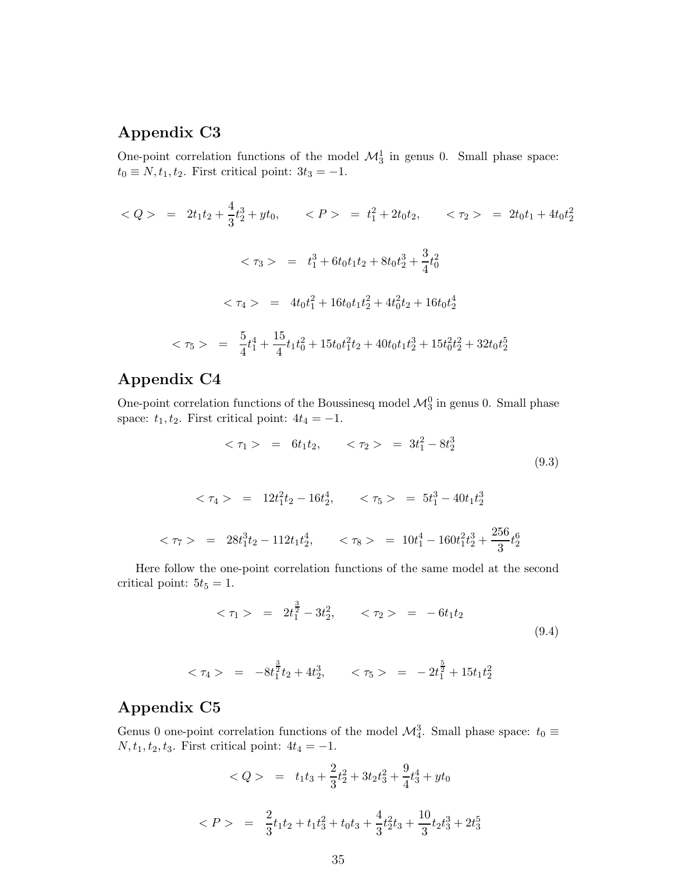#### Appendix C3

One-point correlation functions of the model  $\mathcal{M}_3^1$  in genus 0. Small phase space:  $t_0 \equiv N, t_1, t_2$ . First critical point:  $3t_3 = -1$ .

$$
\langle Q \rangle = 2t_1t_2 + \frac{4}{3}t_2^3 + yt_0, \qquad \langle P \rangle = t_1^2 + 2t_0t_2, \qquad \langle \tau_2 \rangle = 2t_0t_1 + 4t_0t_2^2
$$
\n
$$
\langle \tau_3 \rangle = t_1^3 + 6t_0t_1t_2 + 8t_0t_2^3 + \frac{3}{4}t_0^2
$$
\n
$$
\langle \tau_4 \rangle = 4t_0t_1^2 + 16t_0t_1t_2^2 + 4t_0^2t_2 + 16t_0t_2^4
$$
\n
$$
\langle \tau_5 \rangle = \frac{5}{4}t_1^4 + \frac{15}{4}t_1t_0^2 + 15t_0t_1^2t_2 + 40t_0t_1t_2^3 + 15t_0^2t_2^2 + 32t_0t_2^5
$$

## Appendix C4

One-point correlation functions of the Boussinesq model  $\mathcal{M}_3^0$  in genus 0. Small phase space:  $t_1, t_2$ . First critical point:  $4t_4 = -1$ .

$$
<\tau_1> = 6t_1t_2, \quad <\tau_2> = 3t_1^2 - 8t_2^3
$$
 (9.3)

$$
\langle \tau_4 \rangle = 12t_1^2 t_2 - 16t_2^4, \qquad \langle \tau_5 \rangle = 5t_1^3 - 40t_1 t_2^3
$$
\n
$$
\langle \tau_7 \rangle = 28t_1^3 t_2 - 112t_1 t_2^4, \qquad \langle \tau_8 \rangle = 10t_1^4 - 160t_1^2 t_2^3 + \frac{256}{3}t_2^6
$$

Here follow the one-point correlation functions of the same model at the second critical point:  $5t_5 = 1$ .

$$
<\tau_1> = 2t_1^{\frac{3}{2}} - 3t_2^2, \quad <\tau_2> = -6t_1t_2
$$
 (9.4)

$$
\langle \tau_4 \rangle = -8t_1^{\frac{3}{2}}t_2 + 4t_2^3, \qquad \langle \tau_5 \rangle = -2t_1^{\frac{5}{2}} + 15t_1t_2^2
$$

#### Appendix C5

Genus 0 one-point correlation functions of the model  $\mathcal{M}_4^3$ . Small phase space:  $t_0 \equiv$  $N, t_1, t_2, t_3$ . First critical point:  $4t_4 = -1$ .

$$
\langle Q \rangle = t_1 t_3 + \frac{2}{3} t_2^2 + 3t_2 t_3^2 + \frac{9}{4} t_3^4 + y t_0
$$
  

$$
\langle P \rangle = \frac{2}{3} t_1 t_2 + t_1 t_3^2 + t_0 t_3 + \frac{4}{3} t_2^2 t_3 + \frac{10}{3} t_2 t_3^3 + 2t_3^5
$$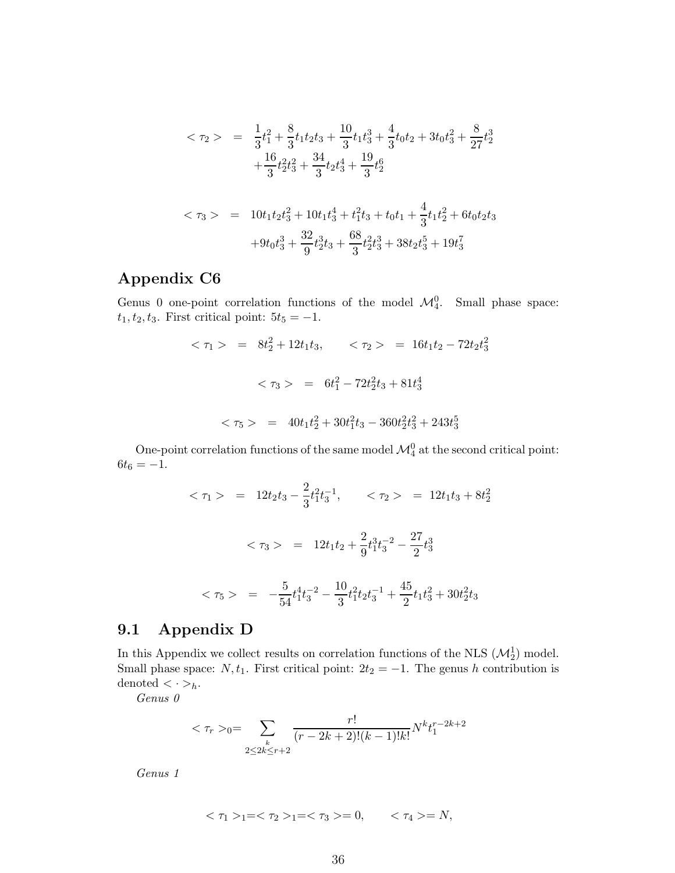$$
\langle \tau_2 \rangle = \frac{1}{3}t_1^2 + \frac{8}{3}t_1t_2t_3 + \frac{10}{3}t_1t_3^3 + \frac{4}{3}t_0t_2 + 3t_0t_3^2 + \frac{8}{27}t_2^3
$$

$$
+ \frac{16}{3}t_2^2t_3^2 + \frac{34}{3}t_2t_3^4 + \frac{19}{3}t_2^6
$$

$$
\langle \tau_3 \rangle = 10t_1t_2t_3^2 + 10t_1t_3^4 + t_1^2t_3 + t_0t_1 + \frac{4}{3}t_1t_2^2 + 6t_0t_2t_3
$$

$$
+ 9t_0t_3^3 + \frac{32}{9}t_2^3t_3 + \frac{68}{3}t_2^2t_3^3 + 38t_2t_3^5 + 19t_3^7
$$

### Appendix C6

Genus 0 one-point correlation functions of the model  $\mathcal{M}_4^0$ . Small phase space:  $t_1, t_2, t_3$ . First critical point:  $5t_5 = -1$ .

$$
<\tau_1> = 8t_2^2 + 12t_1t_3, \qquad <\tau_2> = 16t_1t_2 - 72t_2t_3^2
$$
  
 $<\tau_3> = 6t_1^2 - 72t_2^2t_3 + 81t_3^4$   
 $<\tau_5> = 40t_1t_2^2 + 30t_1^2t_3 - 360t_2^2t_3^2 + 243t_3^5$ 

One-point correlation functions of the same model  $\mathcal{M}_4^0$  at the second critical point:  $6t_6 = -1.$ 

$$
\langle \tau_1 \rangle = 12t_2t_3 - \frac{2}{3}t_1^2t_3^{-1}, \qquad \langle \tau_2 \rangle = 12t_1t_3 + 8t_2^2
$$

$$
\langle \tau_3 \rangle = 12t_1t_2 + \frac{2}{9}t_1^3t_3^{-2} - \frac{27}{2}t_3^3
$$

$$
\langle \tau_5 \rangle = -\frac{5}{54}t_1^4t_3^{-2} - \frac{10}{3}t_1^2t_2t_3^{-1} + \frac{45}{2}t_1t_3^2 + 30t_2^2t_3
$$

#### 9.1 Appendix D

In this Appendix we collect results on correlation functions of the NLS  $(\mathcal{M}_2^1)$  model. Small phase space:  $N, t_1$ . First critical point:  $2t_2 = -1$ . The genus h contribution is denoted  $\langle \, \cdot \, \rangle_h$ .

Genus 0

$$
<\tau_r>_0=\sum_{\substack{k\\2\leq 2k\leq r+2}}\frac{r!}{(r-2k+2)!(k-1)!k!}N^kt_1^{r-2k+2}
$$

Genus 1

$$
<\tau_1>_1=<\tau_2>_1=<\tau_3>=0,\qquad <\tau_4>=N,
$$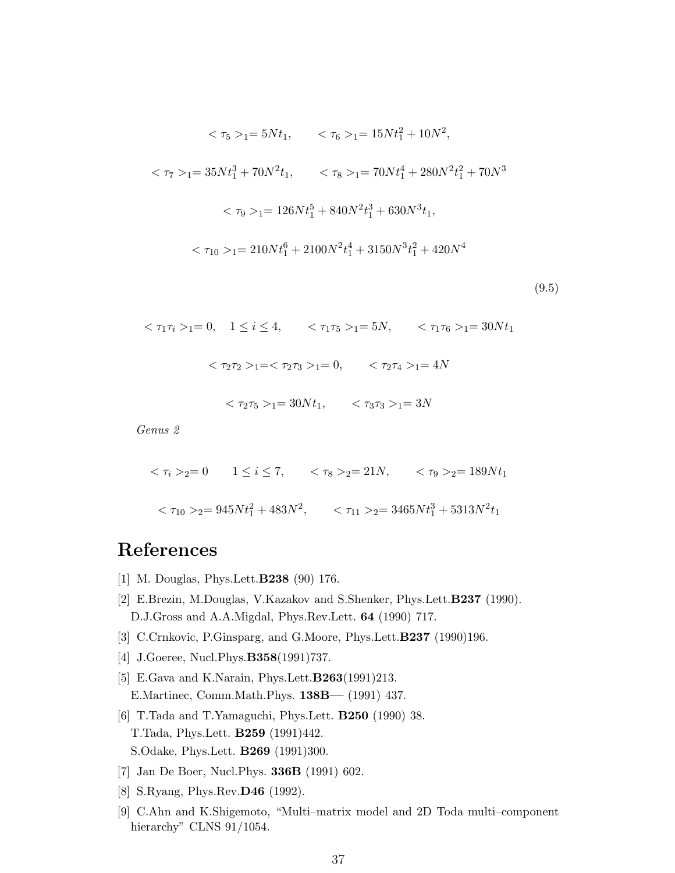<span id="page-36-0"></span>
$$
\langle \tau_5 \rangle_{1} = 5Nt_1, \qquad \langle \tau_6 \rangle_{1} = 15Nt_1^2 + 10N^2,
$$
\n
$$
\langle \tau_7 \rangle_{1} = 35Nt_1^3 + 70N^2t_1, \qquad \langle \tau_8 \rangle_{1} = 70Nt_1^4 + 280N^2t_1^2 + 70N^3
$$
\n
$$
\langle \tau_9 \rangle_{1} = 126Nt_1^5 + 840N^2t_1^3 + 630N^3t_1,
$$
\n
$$
\langle \tau_{10} \rangle_{1} = 210Nt_1^6 + 2100N^2t_1^4 + 3150N^3t_1^2 + 420N^4
$$

(9.5)

$$
\langle \tau_1 \tau_i \rangle_{1} = 0, \quad 1 \le i \le 4, \quad \langle \tau_1 \tau_5 \rangle_{1} = 5N, \quad \langle \tau_1 \tau_6 \rangle_{1} = 30Nt_1
$$

$$
\langle \tau_2 \tau_2 \rangle_{1} = \langle \tau_2 \tau_3 \rangle_{1} = 0, \quad \langle \tau_2 \tau_4 \rangle_{1} = 4N
$$

 $<\tau_2\tau_5>_{1}=30Nt_1, \quad <\tau_3\tau_3>_{1}=3N$ 

Genus 2

$$
\langle \tau_i \rangle_{2} = 0 \qquad 1 \le i \le 7, \qquad \langle \tau_8 \rangle_{2} = 21N, \qquad \langle \tau_9 \rangle_{2} = 189Nt_1
$$

$$
\langle \tau_{10} \rangle_{2} = 945Nt_1^2 + 483N^2, \qquad \langle \tau_{11} \rangle_{2} = 3465Nt_1^3 + 5313N^2t_1
$$

# **References**

- [1] M. Douglas, Phys.Lett.B238 (90) 176.
- [2] E.Brezin, M.Douglas, V.Kazakov and S.Shenker, Phys.Lett.B237 (1990). D.J.Gross and A.A.Migdal, Phys.Rev.Lett. 64 (1990) 717.
- [3] C.Crnkovic, P.Ginsparg, and G.Moore, Phys.Lett.**B237** (1990)196.
- [4] J.Goeree, Nucl.Phys.**B358**(1991)737.
- [5] E.Gava and K.Narain, Phys.Lett.B263(1991)213. E.Martinec, Comm.Math.Phys. 138B— (1991) 437.
- [6] T.Tada and T.Yamaguchi, Phys.Lett. B250 (1990) 38. T.Tada, Phys.Lett. B259 (1991)442. S.Odake, Phys.Lett. B269 (1991)300.
- [7] Jan De Boer, Nucl.Phys. 336B (1991) 602.
- [8] S.Ryang, Phys.Rev.D46 (1992).
- [9] C.Ahn and K.Shigemoto, "Multi–matrix model and 2D Toda multi–component hierarchy" CLNS 91/1054.